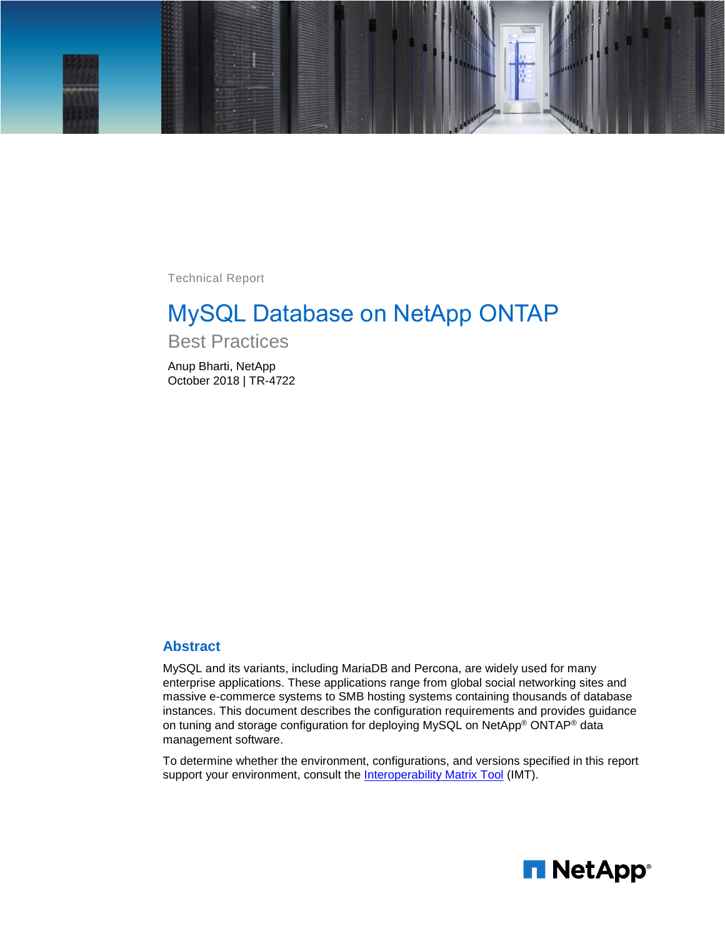

Technical Report

# MySQL Database on NetApp ONTAP

Best Practices

Anup Bharti, NetApp October 2018 | TR-4722

#### **Abstract**

MySQL and its variants, including MariaDB and Percona, are widely used for many enterprise applications. These applications range from global social networking sites and massive e-commerce systems to SMB hosting systems containing thousands of database instances. This document describes the configuration requirements and provides guidance on tuning and storage configuration for deploying MySQL on NetApp® ONTAP® data management software.

To determine whether the environment, configurations, and versions specified in this report support your environment, consult the **Interoperability Matrix Tool** (IMT).

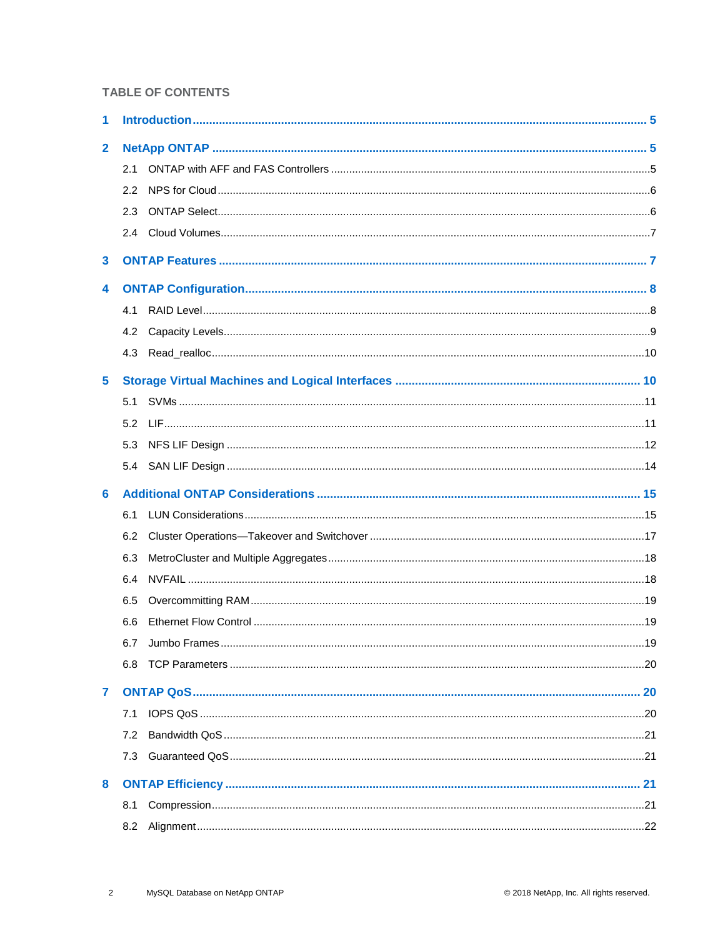#### **TABLE OF CONTENTS**

| 1            |               |  |
|--------------|---------------|--|
| $\mathbf{2}$ |               |  |
|              | 2.1           |  |
|              | $2.2^{\circ}$ |  |
|              | 2.3           |  |
|              |               |  |
| 3            |               |  |
| 4            |               |  |
|              | 4.1           |  |
|              | 4.2           |  |
|              | 4.3           |  |
| 5            |               |  |
|              | 5.1           |  |
|              | 5.2           |  |
|              | 5.3           |  |
|              |               |  |
| 6            |               |  |
|              | 6.1           |  |
|              | 6.2           |  |
|              | 6.3           |  |
|              | 6.4           |  |
|              | 6.5           |  |
|              | 6.6           |  |
|              |               |  |
|              | 6.8           |  |
| 7            |               |  |
|              | 7.1           |  |
|              | 7.2           |  |
|              | 7.3           |  |
| 8            |               |  |
|              | 8.1           |  |
|              | 8.2           |  |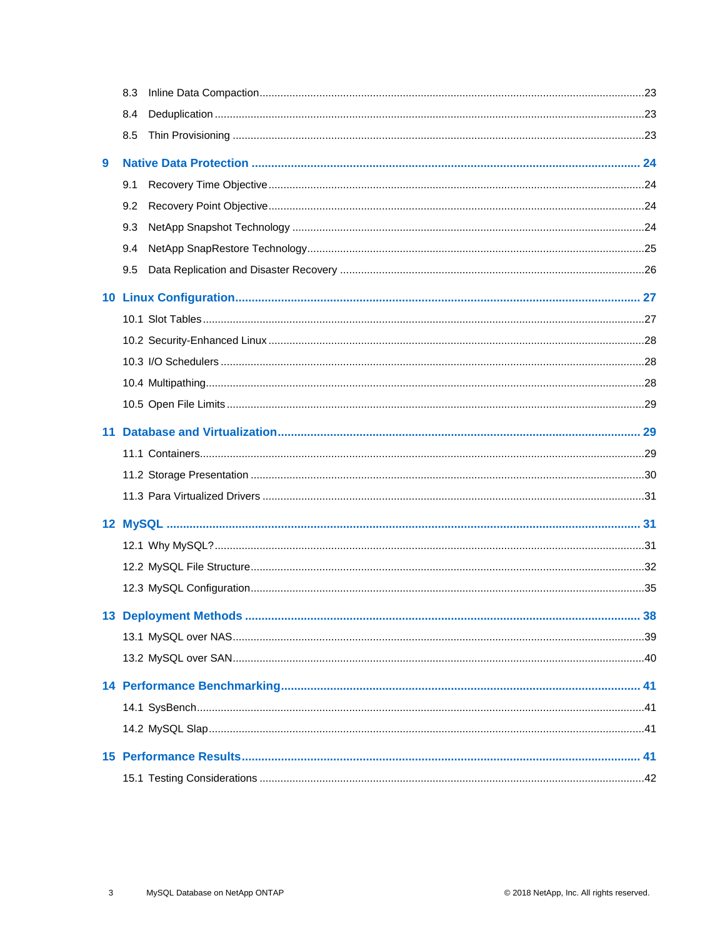|   | 8.3 |    |
|---|-----|----|
|   | 8.4 |    |
|   | 8.5 |    |
| 9 |     |    |
|   | 9.1 |    |
|   | 9.2 |    |
|   | 9.3 |    |
|   | 9.4 |    |
|   | 9.5 |    |
|   |     |    |
|   |     |    |
|   |     |    |
|   |     |    |
|   |     |    |
|   |     |    |
|   |     |    |
|   |     |    |
|   |     |    |
|   |     |    |
|   |     |    |
|   |     |    |
|   |     |    |
|   |     |    |
|   |     | 38 |
|   |     |    |
|   |     |    |
|   |     |    |
|   |     |    |
|   |     |    |
|   |     |    |
|   |     |    |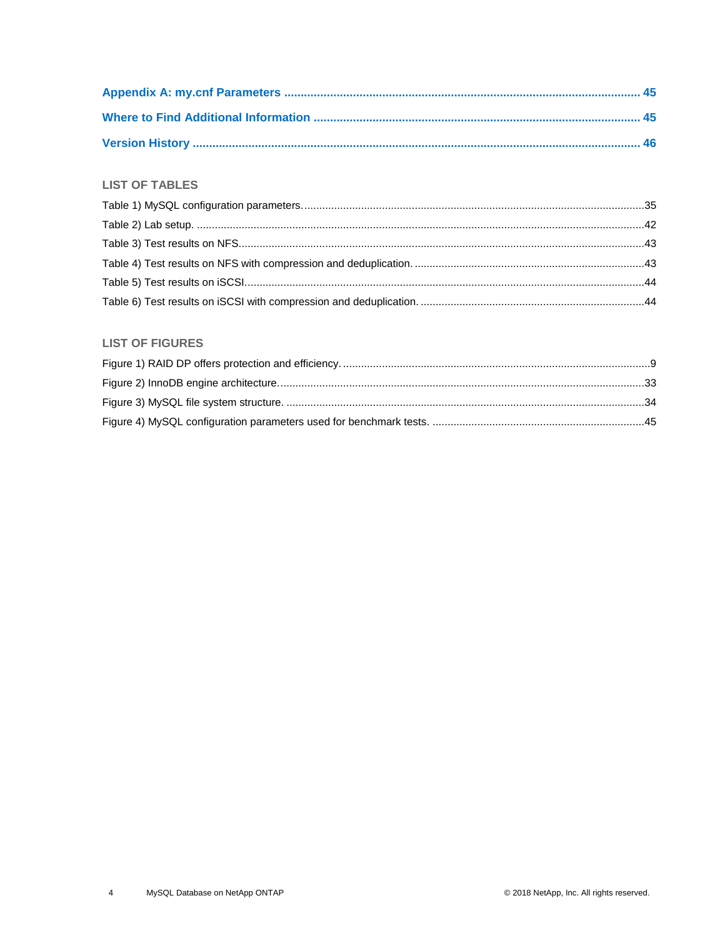#### **LIST OF TABLES**

#### **LIST OF FIGURES**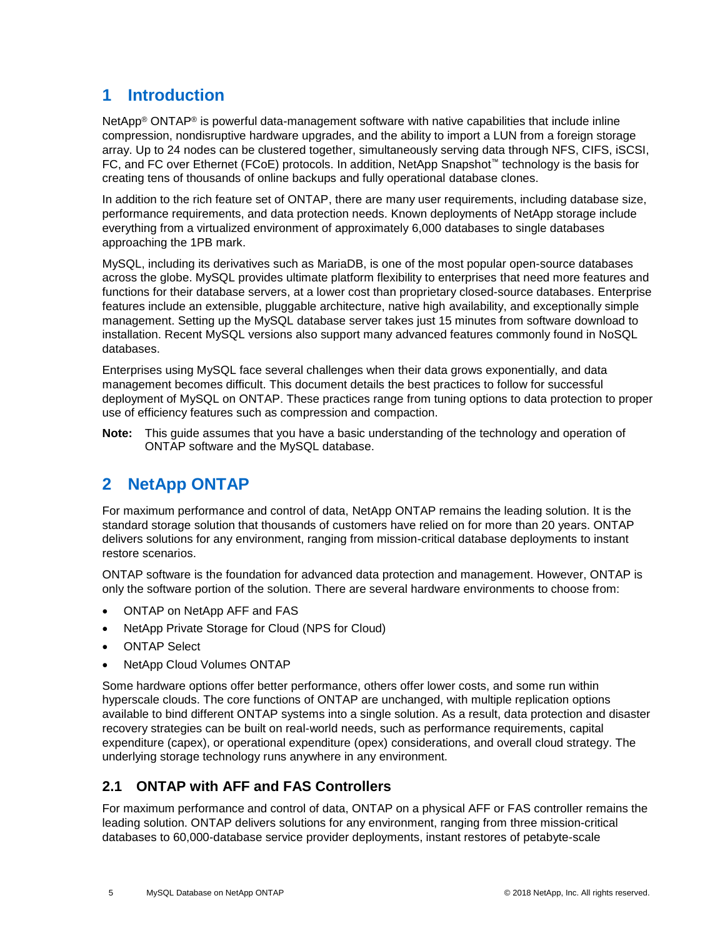## <span id="page-4-0"></span>**1 Introduction**

NetApp<sup>®</sup> ONTAP<sup>®</sup> is powerful data-management software with native capabilities that include inline compression, nondisruptive hardware upgrades, and the ability to import a LUN from a foreign storage array. Up to 24 nodes can be clustered together, simultaneously serving data through NFS, CIFS, iSCSI, FC, and FC over Ethernet (FCoE) protocols. In addition, NetApp Snapshot™ technology is the basis for creating tens of thousands of online backups and fully operational database clones.

In addition to the rich feature set of ONTAP, there are many user requirements, including database size, performance requirements, and data protection needs. Known deployments of NetApp storage include everything from a virtualized environment of approximately 6,000 databases to single databases approaching the 1PB mark.

MySQL, including its derivatives such as MariaDB, is one of the most popular open-source databases across the globe. MySQL provides ultimate platform flexibility to enterprises that need more features and functions for their database servers, at a lower cost than proprietary closed-source databases. Enterprise features include an extensible, pluggable architecture, native high availability, and exceptionally simple management. Setting up the MySQL database server takes just 15 minutes from software download to installation. Recent MySQL versions also support many advanced features commonly found in NoSQL databases.

Enterprises using MySQL face several challenges when their data grows exponentially, and data management becomes difficult. This document details the best practices to follow for successful deployment of MySQL on ONTAP. These practices range from tuning options to data protection to proper use of efficiency features such as compression and compaction.

**Note:** This guide assumes that you have a basic understanding of the technology and operation of ONTAP software and the MySQL database.

## <span id="page-4-1"></span>**2 NetApp ONTAP**

For maximum performance and control of data, NetApp ONTAP remains the leading solution. It is the standard storage solution that thousands of customers have relied on for more than 20 years. ONTAP delivers solutions for any environment, ranging from mission-critical database deployments to instant restore scenarios.

ONTAP software is the foundation for advanced data protection and management. However, ONTAP is only the software portion of the solution. There are several hardware environments to choose from:

- ONTAP on NetApp AFF and FAS
- NetApp Private Storage for Cloud (NPS for Cloud)
- **ONTAP Select**
- NetApp Cloud Volumes ONTAP

Some hardware options offer better performance, others offer lower costs, and some run within hyperscale clouds. The core functions of ONTAP are unchanged, with multiple replication options available to bind different ONTAP systems into a single solution. As a result, data protection and disaster recovery strategies can be built on real-world needs, such as performance requirements, capital expenditure (capex), or operational expenditure (opex) considerations, and overall cloud strategy. The underlying storage technology runs anywhere in any environment.

### <span id="page-4-2"></span>**2.1 ONTAP with AFF and FAS Controllers**

For maximum performance and control of data, ONTAP on a physical AFF or FAS controller remains the leading solution. ONTAP delivers solutions for any environment, ranging from three mission-critical databases to 60,000-database service provider deployments, instant restores of petabyte-scale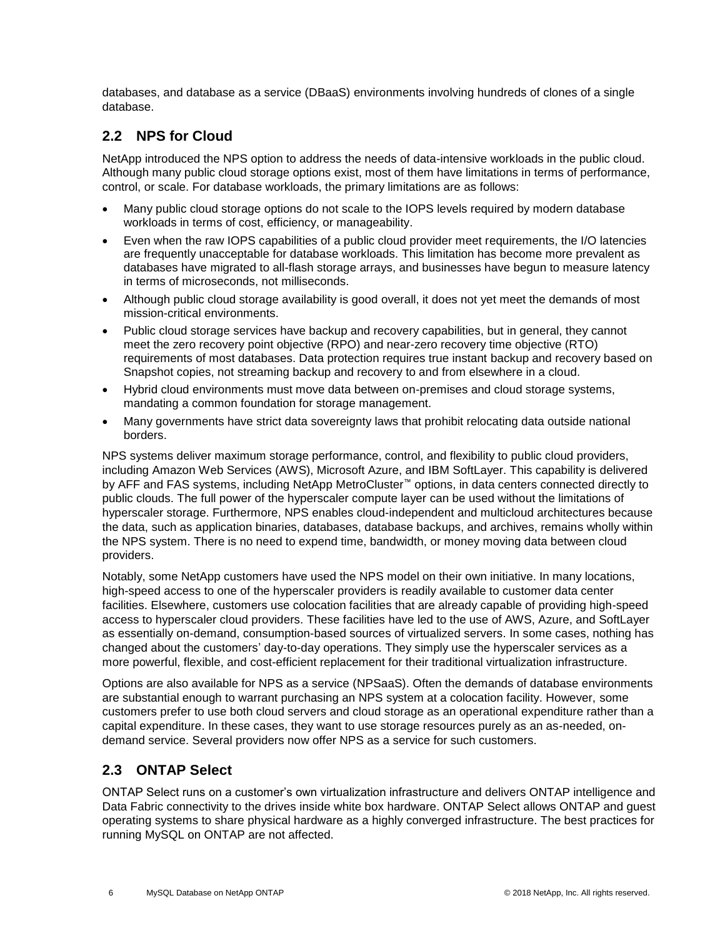databases, and database as a service (DBaaS) environments involving hundreds of clones of a single database.

### <span id="page-5-0"></span>**2.2 NPS for Cloud**

NetApp introduced the NPS option to address the needs of data-intensive workloads in the public cloud. Although many public cloud storage options exist, most of them have limitations in terms of performance, control, or scale. For database workloads, the primary limitations are as follows:

- Many public cloud storage options do not scale to the IOPS levels required by modern database workloads in terms of cost, efficiency, or manageability.
- Even when the raw IOPS capabilities of a public cloud provider meet requirements, the I/O latencies are frequently unacceptable for database workloads. This limitation has become more prevalent as databases have migrated to all-flash storage arrays, and businesses have begun to measure latency in terms of microseconds, not milliseconds.
- Although public cloud storage availability is good overall, it does not yet meet the demands of most mission-critical environments.
- Public cloud storage services have backup and recovery capabilities, but in general, they cannot meet the zero recovery point objective (RPO) and near-zero recovery time objective (RTO) requirements of most databases. Data protection requires true instant backup and recovery based on Snapshot copies, not streaming backup and recovery to and from elsewhere in a cloud.
- Hybrid cloud environments must move data between on-premises and cloud storage systems, mandating a common foundation for storage management.
- Many governments have strict data sovereignty laws that prohibit relocating data outside national borders.

NPS systems deliver maximum storage performance, control, and flexibility to public cloud providers, including Amazon Web Services (AWS), Microsoft Azure, and IBM SoftLayer. This capability is delivered by AFF and FAS systems, including NetApp MetroCluster™ options, in data centers connected directly to public clouds. The full power of the hyperscaler compute layer can be used without the limitations of hyperscaler storage. Furthermore, NPS enables cloud-independent and multicloud architectures because the data, such as application binaries, databases, database backups, and archives, remains wholly within the NPS system. There is no need to expend time, bandwidth, or money moving data between cloud providers.

Notably, some NetApp customers have used the NPS model on their own initiative. In many locations, high-speed access to one of the hyperscaler providers is readily available to customer data center facilities. Elsewhere, customers use colocation facilities that are already capable of providing high-speed access to hyperscaler cloud providers. These facilities have led to the use of AWS, Azure, and SoftLayer as essentially on-demand, consumption-based sources of virtualized servers. In some cases, nothing has changed about the customers' day-to-day operations. They simply use the hyperscaler services as a more powerful, flexible, and cost-efficient replacement for their traditional virtualization infrastructure.

Options are also available for NPS as a service (NPSaaS). Often the demands of database environments are substantial enough to warrant purchasing an NPS system at a colocation facility. However, some customers prefer to use both cloud servers and cloud storage as an operational expenditure rather than a capital expenditure. In these cases, they want to use storage resources purely as an as-needed, ondemand service. Several providers now offer NPS as a service for such customers.

### <span id="page-5-1"></span>**2.3 ONTAP Select**

ONTAP Select runs on a customer's own virtualization infrastructure and delivers ONTAP intelligence and Data Fabric connectivity to the drives inside white box hardware. ONTAP Select allows ONTAP and guest operating systems to share physical hardware as a highly converged infrastructure. The best practices for running MySQL on ONTAP are not affected.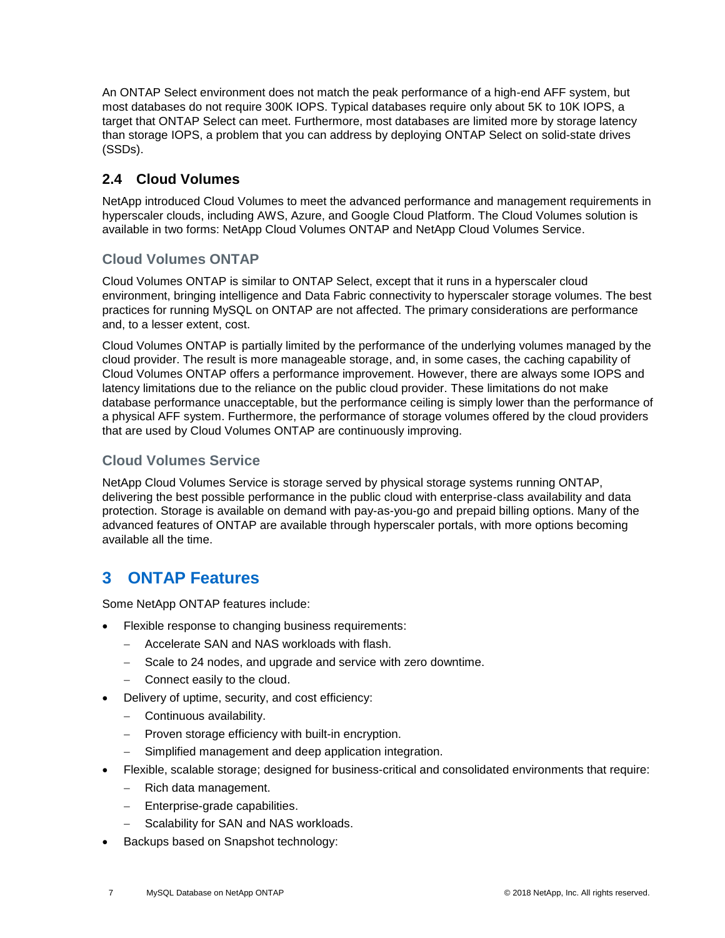An ONTAP Select environment does not match the peak performance of a high-end AFF system, but most databases do not require 300K IOPS. Typical databases require only about 5K to 10K IOPS, a target that ONTAP Select can meet. Furthermore, most databases are limited more by storage latency than storage IOPS, a problem that you can address by deploying ONTAP Select on solid-state drives (SSDs).

### <span id="page-6-0"></span>**2.4 Cloud Volumes**

NetApp introduced Cloud Volumes to meet the advanced performance and management requirements in hyperscaler clouds, including AWS, Azure, and Google Cloud Platform. The Cloud Volumes solution is available in two forms: NetApp Cloud Volumes ONTAP and NetApp Cloud Volumes Service.

### **Cloud Volumes ONTAP**

Cloud Volumes ONTAP is similar to ONTAP Select, except that it runs in a hyperscaler cloud environment, bringing intelligence and Data Fabric connectivity to hyperscaler storage volumes. The best practices for running MySQL on ONTAP are not affected. The primary considerations are performance and, to a lesser extent, cost.

Cloud Volumes ONTAP is partially limited by the performance of the underlying volumes managed by the cloud provider. The result is more manageable storage, and, in some cases, the caching capability of Cloud Volumes ONTAP offers a performance improvement. However, there are always some IOPS and latency limitations due to the reliance on the public cloud provider. These limitations do not make database performance unacceptable, but the performance ceiling is simply lower than the performance of a physical AFF system. Furthermore, the performance of storage volumes offered by the cloud providers that are used by Cloud Volumes ONTAP are continuously improving.

### **Cloud Volumes Service**

NetApp Cloud Volumes Service is storage served by physical storage systems running ONTAP, delivering the best possible performance in the public cloud with enterprise-class availability and data protection. Storage is available on demand with pay-as-you-go and prepaid billing options. Many of the advanced features of ONTAP are available through hyperscaler portals, with more options becoming available all the time.

## <span id="page-6-1"></span>**3 ONTAP Features**

Some NetApp ONTAP features include:

- Flexible response to changing business requirements:
	- − Accelerate SAN and NAS workloads with flash.
	- − Scale to 24 nodes, and upgrade and service with zero downtime.
	- − Connect easily to the cloud.
- Delivery of uptime, security, and cost efficiency:
	- − Continuous availability.
	- − Proven storage efficiency with built-in encryption.
	- − Simplified management and deep application integration.
- Flexible, scalable storage; designed for business-critical and consolidated environments that require:
	- − Rich data management.
	- − Enterprise-grade capabilities.
	- Scalability for SAN and NAS workloads.
- Backups based on Snapshot technology: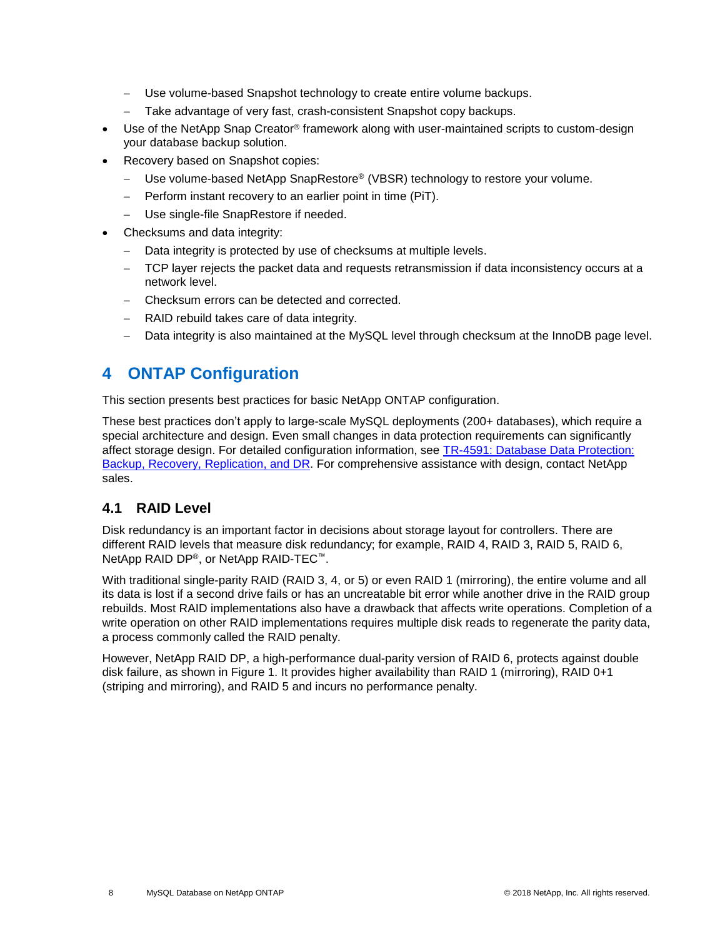- Use volume-based Snapshot technology to create entire volume backups.
- Take advantage of very fast, crash-consistent Snapshot copy backups.
- Use of the NetApp Snap Creator® framework along with user-maintained scripts to custom-design your database backup solution.
- Recovery based on Snapshot copies:
	- − Use volume-based NetApp SnapRestore® (VBSR) technology to restore your volume.
	- − Perform instant recovery to an earlier point in time (PiT).
	- − Use single-file SnapRestore if needed.
- Checksums and data integrity:
	- Data integrity is protected by use of checksums at multiple levels.
	- TCP layer rejects the packet data and requests retransmission if data inconsistency occurs at a network level.
	- − Checksum errors can be detected and corrected.
	- RAID rebuild takes care of data integrity.
	- − Data integrity is also maintained at the MySQL level through checksum at the InnoDB page level.

### <span id="page-7-0"></span>**4 ONTAP Configuration**

This section presents best practices for basic NetApp ONTAP configuration.

These best practices don't apply to large-scale MySQL deployments (200+ databases), which require a special architecture and design. Even small changes in data protection requirements can significantly affect storage design. For detailed configuration information, see [TR-4591: Database Data Protection:](https://www.netapp.com/us/media/tr-4591.pdf)  [Backup, Recovery, Replication,](https://www.netapp.com/us/media/tr-4591.pdf) and DR. For comprehensive assistance with design, contact NetApp sales.

#### <span id="page-7-1"></span>**4.1 RAID Level**

Disk redundancy is an important factor in decisions about storage layout for controllers. There are different RAID levels that measure disk redundancy; for example, RAID 4, RAID 3, RAID 5, RAID 6, NetApp RAID DP®, or NetApp RAID-TEC™.

With traditional single-parity RAID (RAID 3, 4, or 5) or even RAID 1 (mirroring), the entire volume and all its data is lost if a second drive fails or has an uncreatable bit error while another drive in the RAID group rebuilds. Most RAID implementations also have a drawback that affects write operations. Completion of a write operation on other RAID implementations requires multiple disk reads to regenerate the parity data, a process commonly called the RAID penalty.

However, NetApp RAID DP, a high-performance dual-parity version of RAID 6, protects against double disk failure, as shown in [Figure 1.](#page-8-1) It provides higher availability than RAID 1 (mirroring), RAID 0+1 (striping and mirroring), and RAID 5 and incurs no performance penalty.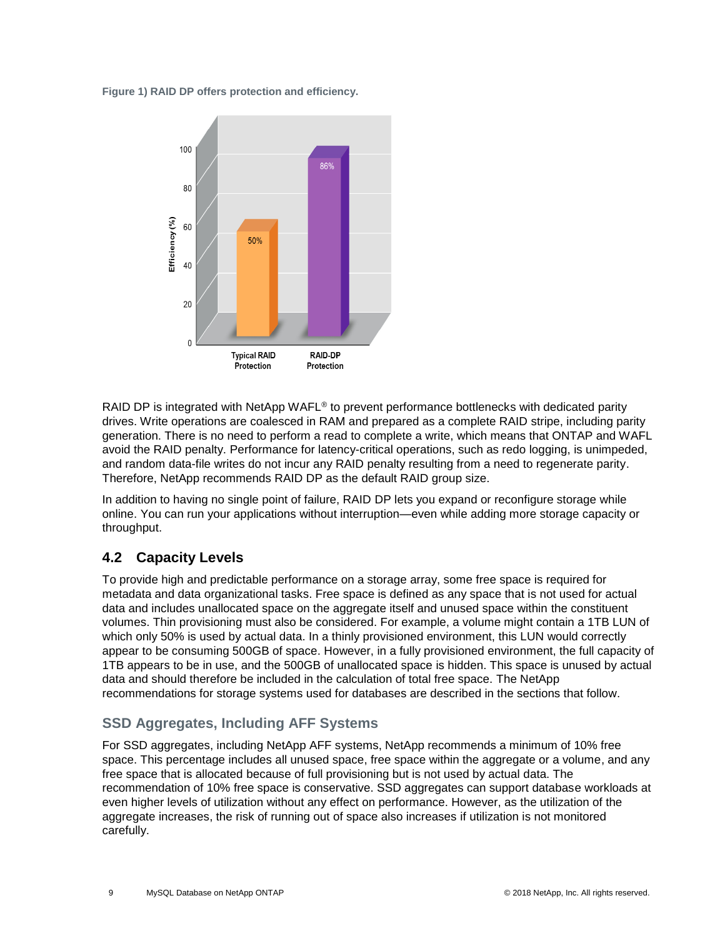<span id="page-8-1"></span>**Figure 1) RAID DP offers protection and efficiency.**



RAID DP is integrated with NetApp WAFL<sup>®</sup> to prevent performance bottlenecks with dedicated parity drives. Write operations are coalesced in RAM and prepared as a complete RAID stripe, including parity generation. There is no need to perform a read to complete a write, which means that ONTAP and WAFL avoid the RAID penalty. Performance for latency-critical operations, such as redo logging, is unimpeded, and random data-file writes do not incur any RAID penalty resulting from a need to regenerate parity. Therefore, NetApp recommends RAID DP as the default RAID group size.

In addition to having no single point of failure, RAID DP lets you expand or reconfigure storage while online. You can run your applications without interruption—even while adding more storage capacity or throughput.

### <span id="page-8-0"></span>**4.2 Capacity Levels**

To provide high and predictable performance on a storage array, some free space is required for metadata and data organizational tasks. Free space is defined as any space that is not used for actual data and includes unallocated space on the aggregate itself and unused space within the constituent volumes. Thin provisioning must also be considered. For example, a volume might contain a 1TB LUN of which only 50% is used by actual data. In a thinly provisioned environment, this LUN would correctly appear to be consuming 500GB of space. However, in a fully provisioned environment, the full capacity of 1TB appears to be in use, and the 500GB of unallocated space is hidden. This space is unused by actual data and should therefore be included in the calculation of total free space. The NetApp recommendations for storage systems used for databases are described in the sections that follow.

### **SSD Aggregates, Including AFF Systems**

For SSD aggregates, including NetApp AFF systems, NetApp recommends a minimum of 10% free space. This percentage includes all unused space, free space within the aggregate or a volume, and any free space that is allocated because of full provisioning but is not used by actual data. The recommendation of 10% free space is conservative. SSD aggregates can support database workloads at even higher levels of utilization without any effect on performance. However, as the utilization of the aggregate increases, the risk of running out of space also increases if utilization is not monitored carefully.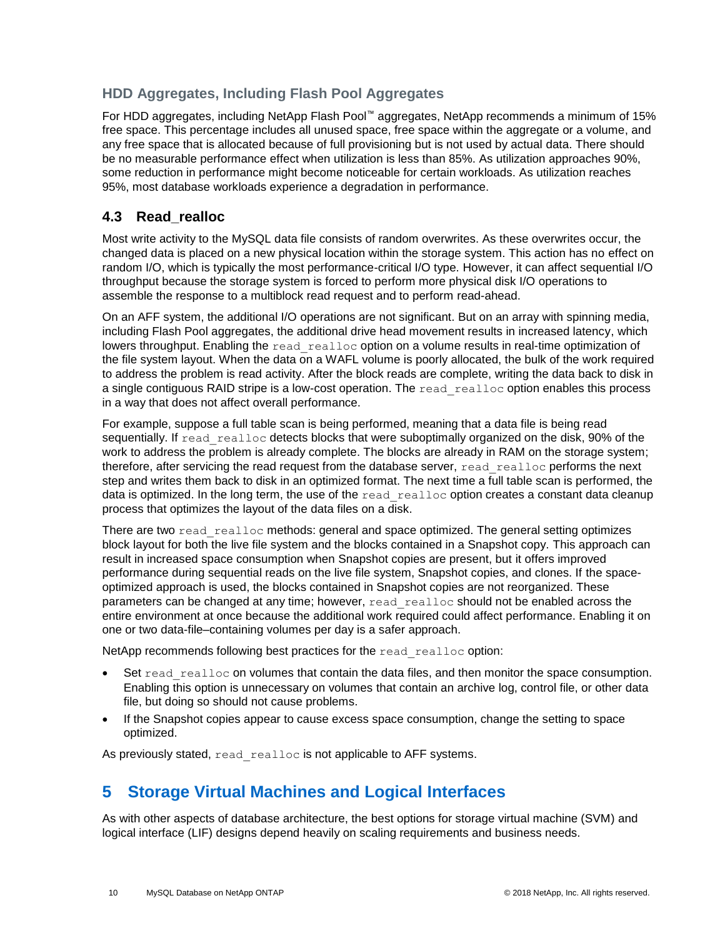### **HDD Aggregates, Including Flash Pool Aggregates**

For HDD aggregates, including NetApp Flash Pool™ aggregates, NetApp recommends a minimum of 15% free space. This percentage includes all unused space, free space within the aggregate or a volume, and any free space that is allocated because of full provisioning but is not used by actual data. There should be no measurable performance effect when utilization is less than 85%. As utilization approaches 90%, some reduction in performance might become noticeable for certain workloads. As utilization reaches 95%, most database workloads experience a degradation in performance.

### <span id="page-9-0"></span>**4.3 Read\_realloc**

Most write activity to the MySQL data file consists of random overwrites. As these overwrites occur, the changed data is placed on a new physical location within the storage system. This action has no effect on random I/O, which is typically the most performance-critical I/O type. However, it can affect sequential I/O throughput because the storage system is forced to perform more physical disk I/O operations to assemble the response to a multiblock read request and to perform read-ahead.

On an AFF system, the additional I/O operations are not significant. But on an array with spinning media, including Flash Pool aggregates, the additional drive head movement results in increased latency, which lowers throughput. Enabling the read realloc option on a volume results in real-time optimization of the file system layout. When the data on a WAFL volume is poorly allocated, the bulk of the work required to address the problem is read activity. After the block reads are complete, writing the data back to disk in a single contiguous RAID stripe is a low-cost operation. The read realloc option enables this process in a way that does not affect overall performance.

For example, suppose a full table scan is being performed, meaning that a data file is being read sequentially. If read realloc detects blocks that were suboptimally organized on the disk, 90% of the work to address the problem is already complete. The blocks are already in RAM on the storage system; therefore, after servicing the read request from the database server, read realloc performs the next step and writes them back to disk in an optimized format. The next time a full table scan is performed, the data is optimized. In the long term, the use of the read realloc option creates a constant data cleanup process that optimizes the layout of the data files on a disk.

There are two read realloc methods: general and space optimized. The general setting optimizes block layout for both the live file system and the blocks contained in a Snapshot copy. This approach can result in increased space consumption when Snapshot copies are present, but it offers improved performance during sequential reads on the live file system, Snapshot copies, and clones. If the spaceoptimized approach is used, the blocks contained in Snapshot copies are not reorganized. These parameters can be changed at any time; however, read realloc should not be enabled across the entire environment at once because the additional work required could affect performance. Enabling it on one or two data-file–containing volumes per day is a safer approach.

NetApp recommends following best practices for the read realloc option:

- Set  $read$  realloc on volumes that contain the data files, and then monitor the space consumption. Enabling this option is unnecessary on volumes that contain an archive log, control file, or other data file, but doing so should not cause problems.
- If the Snapshot copies appear to cause excess space consumption, change the setting to space optimized.

As previously stated, read realloc is not applicable to AFF systems.

## <span id="page-9-1"></span>**5 Storage Virtual Machines and Logical Interfaces**

As with other aspects of database architecture, the best options for storage virtual machine (SVM) and logical interface (LIF) designs depend heavily on scaling requirements and business needs.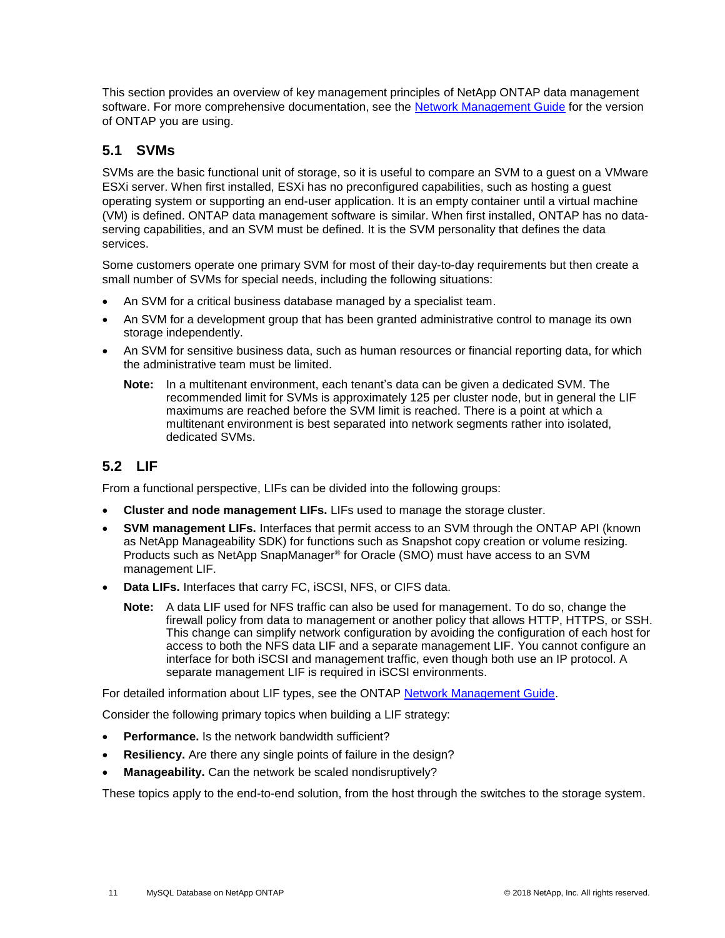This section provides an overview of key management principles of NetApp ONTAP data management software. For more comprehensive documentation, see the [Network Management Guide](https://library.netapp.com/ecm/ecm_download_file/ECMLP2492610) for the version of ONTAP you are using.

### <span id="page-10-0"></span>**5.1 SVMs**

SVMs are the basic functional unit of storage, so it is useful to compare an SVM to a guest on a VMware ESXi server. When first installed, ESXi has no preconfigured capabilities, such as hosting a guest operating system or supporting an end-user application. It is an empty container until a virtual machine (VM) is defined. ONTAP data management software is similar. When first installed, ONTAP has no dataserving capabilities, and an SVM must be defined. It is the SVM personality that defines the data services.

Some customers operate one primary SVM for most of their day-to-day requirements but then create a small number of SVMs for special needs, including the following situations:

- An SVM for a critical business database managed by a specialist team.
- An SVM for a development group that has been granted administrative control to manage its own storage independently.
- An SVM for sensitive business data, such as human resources or financial reporting data, for which the administrative team must be limited.
	- **Note:** In a multitenant environment, each tenant's data can be given a dedicated SVM. The recommended limit for SVMs is approximately 125 per cluster node, but in general the LIF maximums are reached before the SVM limit is reached. There is a point at which a multitenant environment is best separated into network segments rather into isolated, dedicated SVMs.

### <span id="page-10-1"></span>**5.2 LIF**

From a functional perspective, LIFs can be divided into the following groups:

- **Cluster and node management LIFs.** LIFs used to manage the storage cluster.
- **SVM management LIFs.** Interfaces that permit access to an SVM through the ONTAP API (known as NetApp Manageability SDK) for functions such as Snapshot copy creation or volume resizing. Products such as NetApp SnapManager® for Oracle (SMO) must have access to an SVM management LIF.
- **Data LIFs.** Interfaces that carry FC, iSCSI, NFS, or CIFS data.
	- **Note:** A data LIF used for NFS traffic can also be used for management. To do so, change the firewall policy from data to management or another policy that allows HTTP, HTTPS, or SSH. This change can simplify network configuration by avoiding the configuration of each host for access to both the NFS data LIF and a separate management LIF. You cannot configure an interface for both iSCSI and management traffic, even though both use an IP protocol. A separate management LIF is required in iSCSI environments.

For detailed information about LIF types, see the ONTAP [Network Management Guide.](https://library.netapp.com/ecm/ecm_download_file/ECMLP2492610)

Consider the following primary topics when building a LIF strategy:

- **Performance.** Is the network bandwidth sufficient?
- **Resiliency.** Are there any single points of failure in the design?
- **Manageability.** Can the network be scaled nondisruptively?

These topics apply to the end-to-end solution, from the host through the switches to the storage system.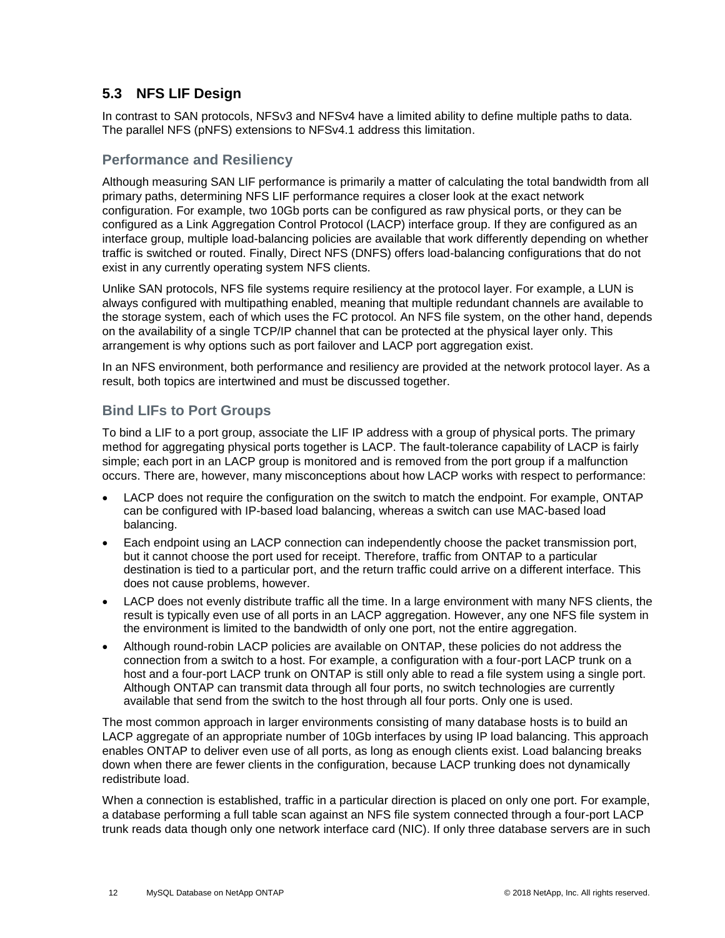### <span id="page-11-0"></span>**5.3 NFS LIF Design**

In contrast to SAN protocols, NFSv3 and NFSv4 have a limited ability to define multiple paths to data. The parallel NFS (pNFS) extensions to NFSv4.1 address this limitation.

#### **Performance and Resiliency**

Although measuring SAN LIF performance is primarily a matter of calculating the total bandwidth from all primary paths, determining NFS LIF performance requires a closer look at the exact network configuration. For example, two 10Gb ports can be configured as raw physical ports, or they can be configured as a Link Aggregation Control Protocol (LACP) interface group. If they are configured as an interface group, multiple load-balancing policies are available that work differently depending on whether traffic is switched or routed. Finally, Direct NFS (DNFS) offers load-balancing configurations that do not exist in any currently operating system NFS clients.

Unlike SAN protocols, NFS file systems require resiliency at the protocol layer. For example, a LUN is always configured with multipathing enabled, meaning that multiple redundant channels are available to the storage system, each of which uses the FC protocol. An NFS file system, on the other hand, depends on the availability of a single TCP/IP channel that can be protected at the physical layer only. This arrangement is why options such as port failover and LACP port aggregation exist.

In an NFS environment, both performance and resiliency are provided at the network protocol layer. As a result, both topics are intertwined and must be discussed together.

#### **Bind LIFs to Port Groups**

To bind a LIF to a port group, associate the LIF IP address with a group of physical ports. The primary method for aggregating physical ports together is LACP. The fault-tolerance capability of LACP is fairly simple; each port in an LACP group is monitored and is removed from the port group if a malfunction occurs. There are, however, many misconceptions about how LACP works with respect to performance:

- LACP does not require the configuration on the switch to match the endpoint. For example, ONTAP can be configured with IP-based load balancing, whereas a switch can use MAC-based load balancing.
- Each endpoint using an LACP connection can independently choose the packet transmission port, but it cannot choose the port used for receipt. Therefore, traffic from ONTAP to a particular destination is tied to a particular port, and the return traffic could arrive on a different interface. This does not cause problems, however.
- LACP does not evenly distribute traffic all the time. In a large environment with many NFS clients, the result is typically even use of all ports in an LACP aggregation. However, any one NFS file system in the environment is limited to the bandwidth of only one port, not the entire aggregation.
- Although round-robin LACP policies are available on ONTAP, these policies do not address the connection from a switch to a host. For example, a configuration with a four-port LACP trunk on a host and a four-port LACP trunk on ONTAP is still only able to read a file system using a single port. Although ONTAP can transmit data through all four ports, no switch technologies are currently available that send from the switch to the host through all four ports. Only one is used.

The most common approach in larger environments consisting of many database hosts is to build an LACP aggregate of an appropriate number of 10Gb interfaces by using IP load balancing. This approach enables ONTAP to deliver even use of all ports, as long as enough clients exist. Load balancing breaks down when there are fewer clients in the configuration, because LACP trunking does not dynamically redistribute load.

When a connection is established, traffic in a particular direction is placed on only one port. For example, a database performing a full table scan against an NFS file system connected through a four-port LACP trunk reads data though only one network interface card (NIC). If only three database servers are in such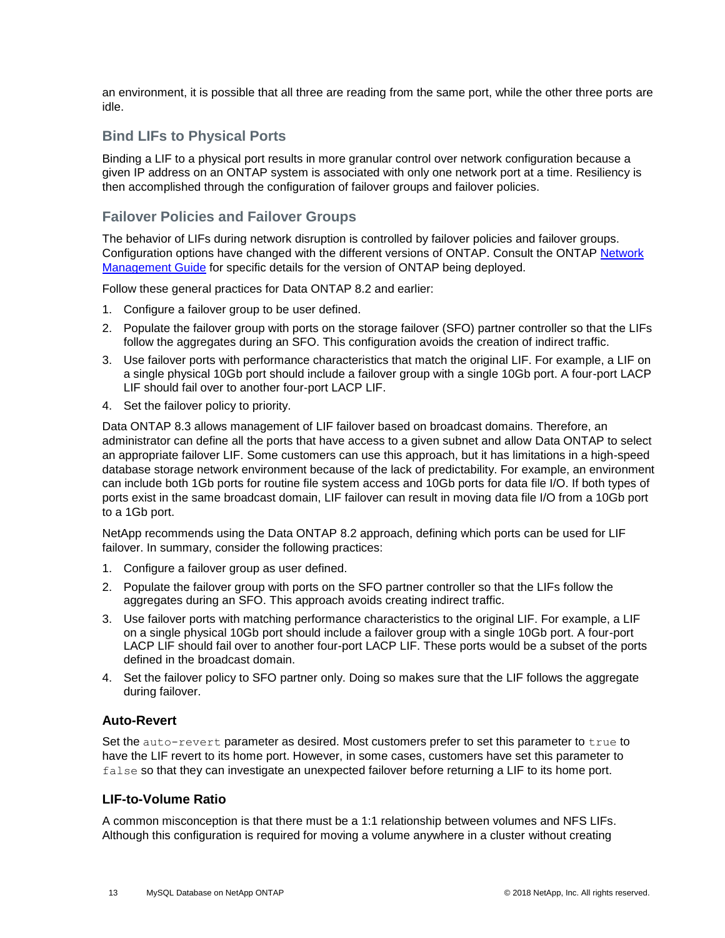an environment, it is possible that all three are reading from the same port, while the other three ports are idle.

#### **Bind LIFs to Physical Ports**

Binding a LIF to a physical port results in more granular control over network configuration because a given IP address on an ONTAP system is associated with only one network port at a time. Resiliency is then accomplished through the configuration of failover groups and failover policies.

#### **Failover Policies and Failover Groups**

The behavior of LIFs during network disruption is controlled by failover policies and failover groups. Configuration options have changed with the different versions of ONTAP. Consult the ONTAP [Network](https://library.netapp.com/ecm/ecm_download_file/ECMLP2492610)  [Management Guide](https://library.netapp.com/ecm/ecm_download_file/ECMLP2492610) for specific details for the version of ONTAP being deployed.

Follow these general practices for Data ONTAP 8.2 and earlier:

- 1. Configure a failover group to be user defined.
- 2. Populate the failover group with ports on the storage failover (SFO) partner controller so that the LIFs follow the aggregates during an SFO. This configuration avoids the creation of indirect traffic.
- 3. Use failover ports with performance characteristics that match the original LIF. For example, a LIF on a single physical 10Gb port should include a failover group with a single 10Gb port. A four-port LACP LIF should fail over to another four-port LACP LIF.
- 4. Set the failover policy to priority.

Data ONTAP 8.3 allows management of LIF failover based on broadcast domains. Therefore, an administrator can define all the ports that have access to a given subnet and allow Data ONTAP to select an appropriate failover LIF. Some customers can use this approach, but it has limitations in a high-speed database storage network environment because of the lack of predictability. For example, an environment can include both 1Gb ports for routine file system access and 10Gb ports for data file I/O. If both types of ports exist in the same broadcast domain, LIF failover can result in moving data file I/O from a 10Gb port to a 1Gb port.

NetApp recommends using the Data ONTAP 8.2 approach, defining which ports can be used for LIF failover. In summary, consider the following practices:

- 1. Configure a failover group as user defined.
- 2. Populate the failover group with ports on the SFO partner controller so that the LIFs follow the aggregates during an SFO. This approach avoids creating indirect traffic.
- 3. Use failover ports with matching performance characteristics to the original LIF. For example, a LIF on a single physical 10Gb port should include a failover group with a single 10Gb port. A four-port LACP LIF should fail over to another four-port LACP LIF. These ports would be a subset of the ports defined in the broadcast domain.
- 4. Set the failover policy to SFO partner only. Doing so makes sure that the LIF follows the aggregate during failover.

#### **Auto-Revert**

Set the auto-revert parameter as desired. Most customers prefer to set this parameter to true to have the LIF revert to its home port. However, in some cases, customers have set this parameter to false so that they can investigate an unexpected failover before returning a LIF to its home port.

#### **LIF-to-Volume Ratio**

A common misconception is that there must be a 1:1 relationship between volumes and NFS LIFs. Although this configuration is required for moving a volume anywhere in a cluster without creating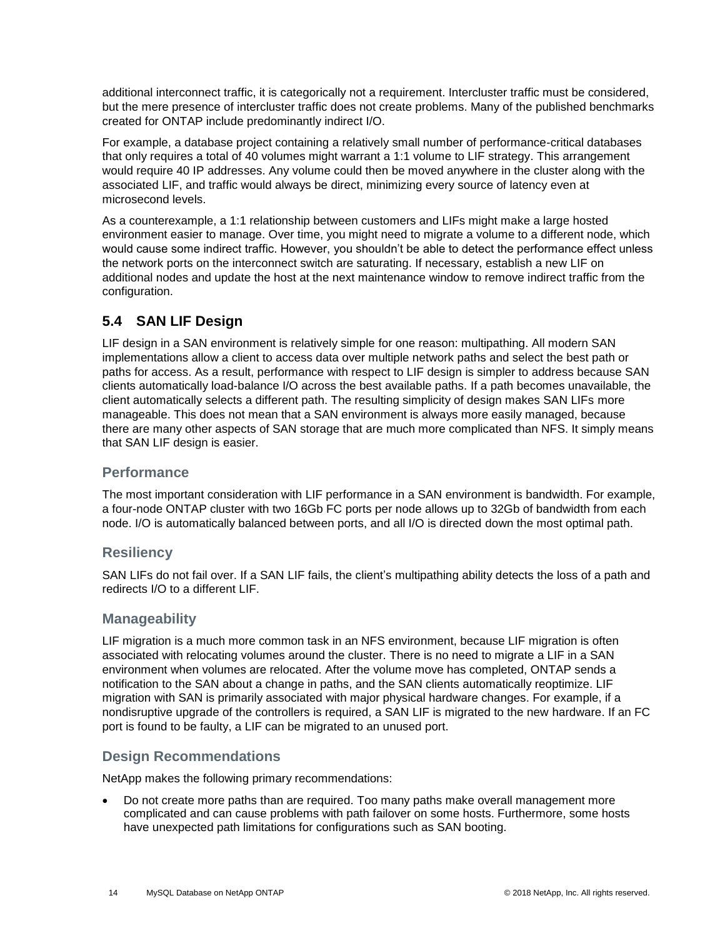additional interconnect traffic, it is categorically not a requirement. Intercluster traffic must be considered, but the mere presence of intercluster traffic does not create problems. Many of the published benchmarks created for ONTAP include predominantly indirect I/O.

For example, a database project containing a relatively small number of performance-critical databases that only requires a total of 40 volumes might warrant a 1:1 volume to LIF strategy. This arrangement would require 40 IP addresses. Any volume could then be moved anywhere in the cluster along with the associated LIF, and traffic would always be direct, minimizing every source of latency even at microsecond levels.

As a counterexample, a 1:1 relationship between customers and LIFs might make a large hosted environment easier to manage. Over time, you might need to migrate a volume to a different node, which would cause some indirect traffic. However, you shouldn't be able to detect the performance effect unless the network ports on the interconnect switch are saturating. If necessary, establish a new LIF on additional nodes and update the host at the next maintenance window to remove indirect traffic from the configuration.

### <span id="page-13-0"></span>**5.4 SAN LIF Design**

LIF design in a SAN environment is relatively simple for one reason: multipathing. All modern SAN implementations allow a client to access data over multiple network paths and select the best path or paths for access. As a result, performance with respect to LIF design is simpler to address because SAN clients automatically load-balance I/O across the best available paths. If a path becomes unavailable, the client automatically selects a different path. The resulting simplicity of design makes SAN LIFs more manageable. This does not mean that a SAN environment is always more easily managed, because there are many other aspects of SAN storage that are much more complicated than NFS. It simply means that SAN LIF design is easier.

#### **Performance**

The most important consideration with LIF performance in a SAN environment is bandwidth. For example, a four-node ONTAP cluster with two 16Gb FC ports per node allows up to 32Gb of bandwidth from each node. I/O is automatically balanced between ports, and all I/O is directed down the most optimal path.

#### **Resiliency**

SAN LIFs do not fail over. If a SAN LIF fails, the client's multipathing ability detects the loss of a path and redirects I/O to a different LIF.

#### **Manageability**

LIF migration is a much more common task in an NFS environment, because LIF migration is often associated with relocating volumes around the cluster. There is no need to migrate a LIF in a SAN environment when volumes are relocated. After the volume move has completed, ONTAP sends a notification to the SAN about a change in paths, and the SAN clients automatically reoptimize. LIF migration with SAN is primarily associated with major physical hardware changes. For example, if a nondisruptive upgrade of the controllers is required, a SAN LIF is migrated to the new hardware. If an FC port is found to be faulty, a LIF can be migrated to an unused port.

### **Design Recommendations**

NetApp makes the following primary recommendations:

• Do not create more paths than are required. Too many paths make overall management more complicated and can cause problems with path failover on some hosts. Furthermore, some hosts have unexpected path limitations for configurations such as SAN booting.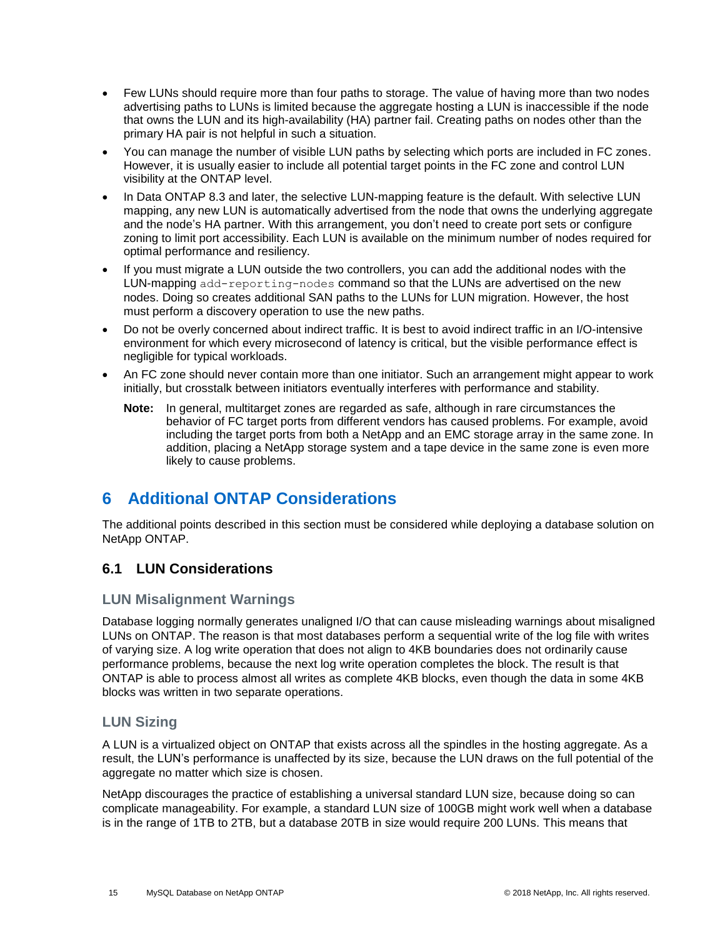- Few LUNs should require more than four paths to storage. The value of having more than two nodes advertising paths to LUNs is limited because the aggregate hosting a LUN is inaccessible if the node that owns the LUN and its high-availability (HA) partner fail. Creating paths on nodes other than the primary HA pair is not helpful in such a situation.
- You can manage the number of visible LUN paths by selecting which ports are included in FC zones. However, it is usually easier to include all potential target points in the FC zone and control LUN visibility at the ONTAP level.
- In Data ONTAP 8.3 and later, the selective LUN-mapping feature is the default. With selective LUN mapping, any new LUN is automatically advertised from the node that owns the underlying aggregate and the node's HA partner. With this arrangement, you don't need to create port sets or configure zoning to limit port accessibility. Each LUN is available on the minimum number of nodes required for optimal performance and resiliency.
- If you must migrate a LUN outside the two controllers, you can add the additional nodes with the LUN-mapping add-reporting-nodes command so that the LUNs are advertised on the new nodes. Doing so creates additional SAN paths to the LUNs for LUN migration. However, the host must perform a discovery operation to use the new paths.
- Do not be overly concerned about indirect traffic. It is best to avoid indirect traffic in an I/O-intensive environment for which every microsecond of latency is critical, but the visible performance effect is negligible for typical workloads.
- An FC zone should never contain more than one initiator. Such an arrangement might appear to work initially, but crosstalk between initiators eventually interferes with performance and stability.
	- **Note:** In general, multitarget zones are regarded as safe, although in rare circumstances the behavior of FC target ports from different vendors has caused problems. For example, avoid including the target ports from both a NetApp and an EMC storage array in the same zone. In addition, placing a NetApp storage system and a tape device in the same zone is even more likely to cause problems.

## <span id="page-14-0"></span>**6 Additional ONTAP Considerations**

The additional points described in this section must be considered while deploying a database solution on NetApp ONTAP.

### <span id="page-14-1"></span>**6.1 LUN Considerations**

### **LUN Misalignment Warnings**

Database logging normally generates unaligned I/O that can cause misleading warnings about misaligned LUNs on ONTAP. The reason is that most databases perform a sequential write of the log file with writes of varying size. A log write operation that does not align to 4KB boundaries does not ordinarily cause performance problems, because the next log write operation completes the block. The result is that ONTAP is able to process almost all writes as complete 4KB blocks, even though the data in some 4KB blocks was written in two separate operations.

#### **LUN Sizing**

A LUN is a virtualized object on ONTAP that exists across all the spindles in the hosting aggregate. As a result, the LUN's performance is unaffected by its size, because the LUN draws on the full potential of the aggregate no matter which size is chosen.

NetApp discourages the practice of establishing a universal standard LUN size, because doing so can complicate manageability. For example, a standard LUN size of 100GB might work well when a database is in the range of 1TB to 2TB, but a database 20TB in size would require 200 LUNs. This means that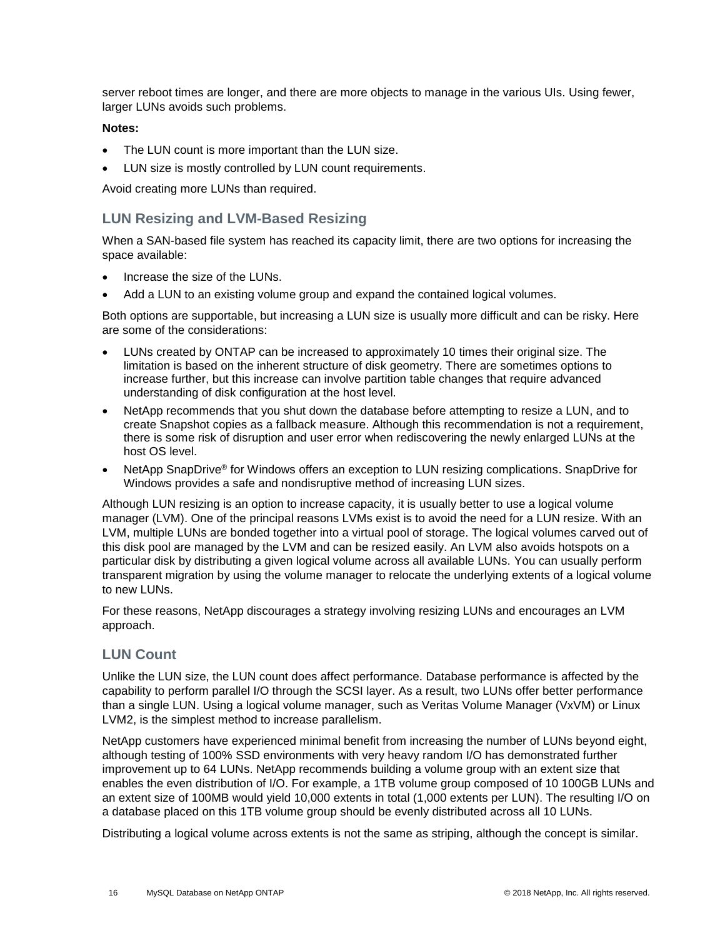server reboot times are longer, and there are more objects to manage in the various UIs. Using fewer, larger LUNs avoids such problems.

#### **Notes:**

- The LUN count is more important than the LUN size.
- LUN size is mostly controlled by LUN count requirements.

Avoid creating more LUNs than required.

#### **LUN Resizing and LVM-Based Resizing**

When a SAN-based file system has reached its capacity limit, there are two options for increasing the space available:

- Increase the size of the LUNs.
- Add a LUN to an existing volume group and expand the contained logical volumes.

Both options are supportable, but increasing a LUN size is usually more difficult and can be risky. Here are some of the considerations:

- LUNs created by ONTAP can be increased to approximately 10 times their original size. The limitation is based on the inherent structure of disk geometry. There are sometimes options to increase further, but this increase can involve partition table changes that require advanced understanding of disk configuration at the host level.
- NetApp recommends that you shut down the database before attempting to resize a LUN, and to create Snapshot copies as a fallback measure. Although this recommendation is not a requirement, there is some risk of disruption and user error when rediscovering the newly enlarged LUNs at the host OS level.
- NetApp SnapDrive<sup>®</sup> for Windows offers an exception to LUN resizing complications. SnapDrive for Windows provides a safe and nondisruptive method of increasing LUN sizes.

Although LUN resizing is an option to increase capacity, it is usually better to use a logical volume manager (LVM). One of the principal reasons LVMs exist is to avoid the need for a LUN resize. With an LVM, multiple LUNs are bonded together into a virtual pool of storage. The logical volumes carved out of this disk pool are managed by the LVM and can be resized easily. An LVM also avoids hotspots on a particular disk by distributing a given logical volume across all available LUNs. You can usually perform transparent migration by using the volume manager to relocate the underlying extents of a logical volume to new LUNs.

For these reasons, NetApp discourages a strategy involving resizing LUNs and encourages an LVM approach.

#### **LUN Count**

Unlike the LUN size, the LUN count does affect performance. Database performance is affected by the capability to perform parallel I/O through the SCSI layer. As a result, two LUNs offer better performance than a single LUN. Using a logical volume manager, such as Veritas Volume Manager (VxVM) or Linux LVM2, is the simplest method to increase parallelism.

NetApp customers have experienced minimal benefit from increasing the number of LUNs beyond eight, although testing of 100% SSD environments with very heavy random I/O has demonstrated further improvement up to 64 LUNs. NetApp recommends building a volume group with an extent size that enables the even distribution of I/O. For example, a 1TB volume group composed of 10 100GB LUNs and an extent size of 100MB would yield 10,000 extents in total (1,000 extents per LUN). The resulting I/O on a database placed on this 1TB volume group should be evenly distributed across all 10 LUNs.

Distributing a logical volume across extents is not the same as striping, although the concept is similar.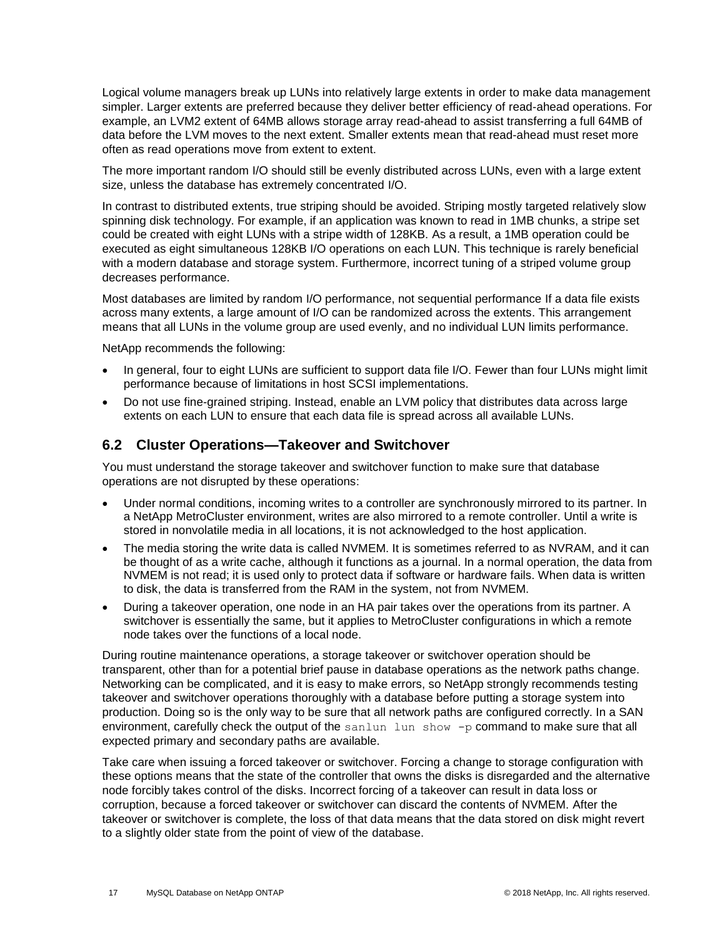Logical volume managers break up LUNs into relatively large extents in order to make data management simpler. Larger extents are preferred because they deliver better efficiency of read-ahead operations. For example, an LVM2 extent of 64MB allows storage array read-ahead to assist transferring a full 64MB of data before the LVM moves to the next extent. Smaller extents mean that read-ahead must reset more often as read operations move from extent to extent.

The more important random I/O should still be evenly distributed across LUNs, even with a large extent size, unless the database has extremely concentrated I/O.

In contrast to distributed extents, true striping should be avoided. Striping mostly targeted relatively slow spinning disk technology. For example, if an application was known to read in 1MB chunks, a stripe set could be created with eight LUNs with a stripe width of 128KB. As a result, a 1MB operation could be executed as eight simultaneous 128KB I/O operations on each LUN. This technique is rarely beneficial with a modern database and storage system. Furthermore, incorrect tuning of a striped volume group decreases performance.

Most databases are limited by random I/O performance, not sequential performance If a data file exists across many extents, a large amount of I/O can be randomized across the extents. This arrangement means that all LUNs in the volume group are used evenly, and no individual LUN limits performance.

NetApp recommends the following:

- In general, four to eight LUNs are sufficient to support data file I/O. Fewer than four LUNs might limit performance because of limitations in host SCSI implementations.
- Do not use fine-grained striping. Instead, enable an LVM policy that distributes data across large extents on each LUN to ensure that each data file is spread across all available LUNs.

#### <span id="page-16-0"></span>**6.2 Cluster Operations—Takeover and Switchover**

You must understand the storage takeover and switchover function to make sure that database operations are not disrupted by these operations:

- Under normal conditions, incoming writes to a controller are synchronously mirrored to its partner. In a NetApp MetroCluster environment, writes are also mirrored to a remote controller. Until a write is stored in nonvolatile media in all locations, it is not acknowledged to the host application.
- The media storing the write data is called NVMEM. It is sometimes referred to as NVRAM, and it can be thought of as a write cache, although it functions as a journal. In a normal operation, the data from NVMEM is not read; it is used only to protect data if software or hardware fails. When data is written to disk, the data is transferred from the RAM in the system, not from NVMEM.
- During a takeover operation, one node in an HA pair takes over the operations from its partner. A switchover is essentially the same, but it applies to MetroCluster configurations in which a remote node takes over the functions of a local node.

During routine maintenance operations, a storage takeover or switchover operation should be transparent, other than for a potential brief pause in database operations as the network paths change. Networking can be complicated, and it is easy to make errors, so NetApp strongly recommends testing takeover and switchover operations thoroughly with a database before putting a storage system into production. Doing so is the only way to be sure that all network paths are configured correctly. In a SAN environment, carefully check the output of the sanlun lun show -p command to make sure that all expected primary and secondary paths are available.

Take care when issuing a forced takeover or switchover. Forcing a change to storage configuration with these options means that the state of the controller that owns the disks is disregarded and the alternative node forcibly takes control of the disks. Incorrect forcing of a takeover can result in data loss or corruption, because a forced takeover or switchover can discard the contents of NVMEM. After the takeover or switchover is complete, the loss of that data means that the data stored on disk might revert to a slightly older state from the point of view of the database.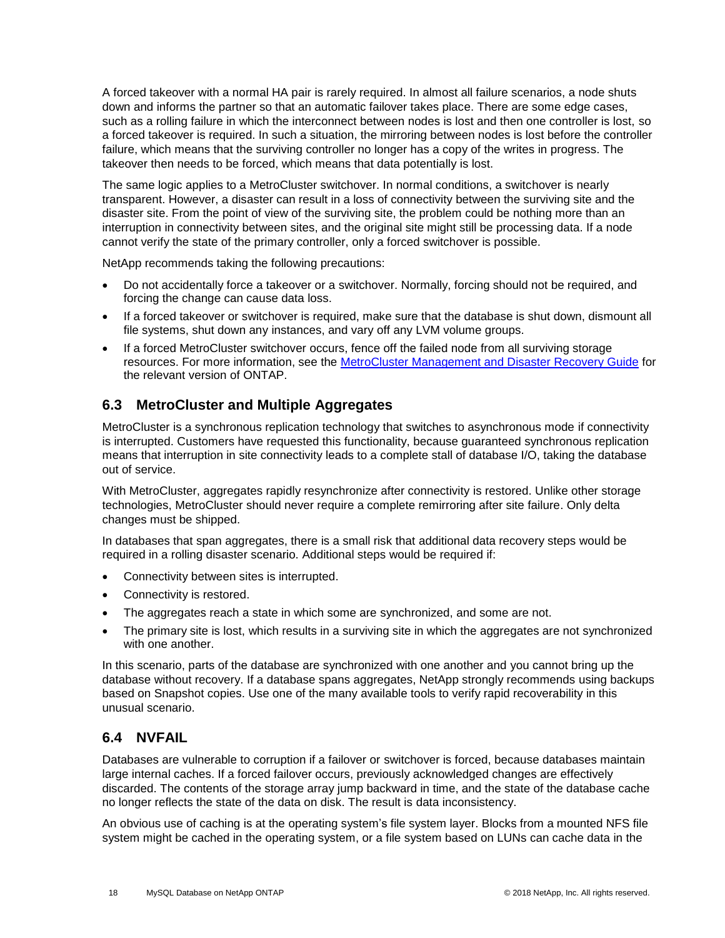A forced takeover with a normal HA pair is rarely required. In almost all failure scenarios, a node shuts down and informs the partner so that an automatic failover takes place. There are some edge cases, such as a rolling failure in which the interconnect between nodes is lost and then one controller is lost, so a forced takeover is required. In such a situation, the mirroring between nodes is lost before the controller failure, which means that the surviving controller no longer has a copy of the writes in progress. The takeover then needs to be forced, which means that data potentially is lost.

The same logic applies to a MetroCluster switchover. In normal conditions, a switchover is nearly transparent. However, a disaster can result in a loss of connectivity between the surviving site and the disaster site. From the point of view of the surviving site, the problem could be nothing more than an interruption in connectivity between sites, and the original site might still be processing data. If a node cannot verify the state of the primary controller, only a forced switchover is possible.

NetApp recommends taking the following precautions:

- Do not accidentally force a takeover or a switchover. Normally, forcing should not be required, and forcing the change can cause data loss.
- If a forced takeover or switchover is required, make sure that the database is shut down, dismount all file systems, shut down any instances, and vary off any LVM volume groups.
- If a forced MetroCluster switchover occurs, fence off the failed node from all surviving storage resources. For more information, see the [MetroCluster Management and Disaster Recovery Guide](https://library.netapp.com/ecm/ecm_download_file/ECMLP2495113) for the relevant version of ONTAP.

### <span id="page-17-0"></span>**6.3 MetroCluster and Multiple Aggregates**

MetroCluster is a synchronous replication technology that switches to asynchronous mode if connectivity is interrupted. Customers have requested this functionality, because guaranteed synchronous replication means that interruption in site connectivity leads to a complete stall of database I/O, taking the database out of service.

With MetroCluster, aggregates rapidly resynchronize after connectivity is restored. Unlike other storage technologies, MetroCluster should never require a complete remirroring after site failure. Only delta changes must be shipped.

In databases that span aggregates, there is a small risk that additional data recovery steps would be required in a rolling disaster scenario. Additional steps would be required if:

- Connectivity between sites is interrupted.
- Connectivity is restored.
- The aggregates reach a state in which some are synchronized, and some are not.
- The primary site is lost, which results in a surviving site in which the aggregates are not synchronized with one another.

In this scenario, parts of the database are synchronized with one another and you cannot bring up the database without recovery. If a database spans aggregates, NetApp strongly recommends using backups based on Snapshot copies. Use one of the many available tools to verify rapid recoverability in this unusual scenario.

### <span id="page-17-1"></span>**6.4 NVFAIL**

Databases are vulnerable to corruption if a failover or switchover is forced, because databases maintain large internal caches. If a forced failover occurs, previously acknowledged changes are effectively discarded. The contents of the storage array jump backward in time, and the state of the database cache no longer reflects the state of the data on disk. The result is data inconsistency.

An obvious use of caching is at the operating system's file system layer. Blocks from a mounted NFS file system might be cached in the operating system, or a file system based on LUNs can cache data in the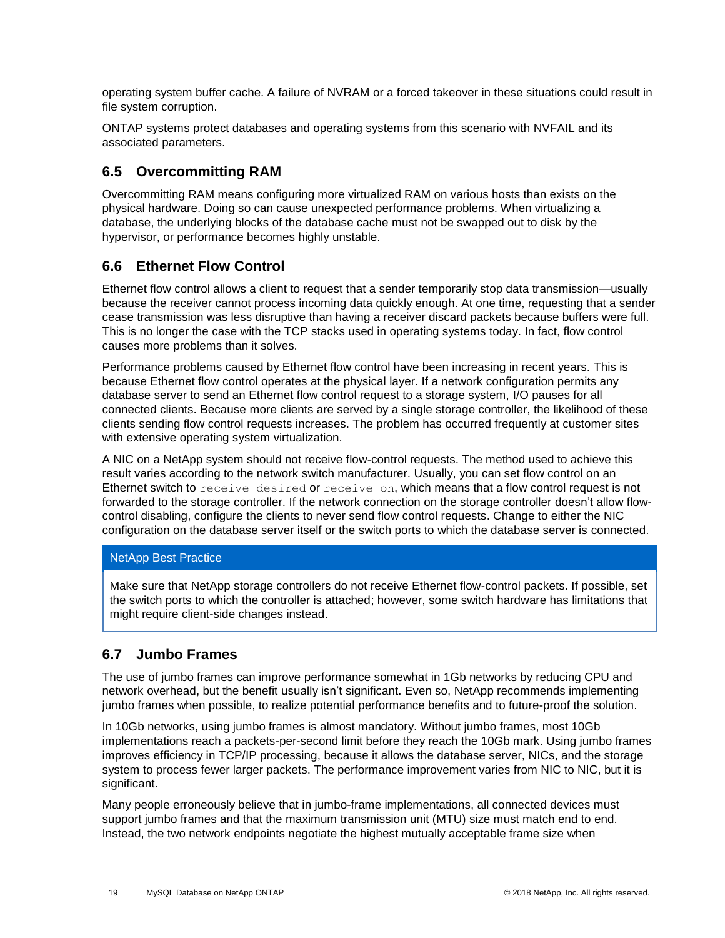operating system buffer cache. A failure of NVRAM or a forced takeover in these situations could result in file system corruption.

ONTAP systems protect databases and operating systems from this scenario with NVFAIL and its associated parameters.

#### <span id="page-18-0"></span>**6.5 Overcommitting RAM**

Overcommitting RAM means configuring more virtualized RAM on various hosts than exists on the physical hardware. Doing so can cause unexpected performance problems. When virtualizing a database, the underlying blocks of the database cache must not be swapped out to disk by the hypervisor, or performance becomes highly unstable.

### <span id="page-18-1"></span>**6.6 Ethernet Flow Control**

Ethernet flow control allows a client to request that a sender temporarily stop data transmission—usually because the receiver cannot process incoming data quickly enough. At one time, requesting that a sender cease transmission was less disruptive than having a receiver discard packets because buffers were full. This is no longer the case with the TCP stacks used in operating systems today. In fact, flow control causes more problems than it solves.

Performance problems caused by Ethernet flow control have been increasing in recent years. This is because Ethernet flow control operates at the physical layer. If a network configuration permits any database server to send an Ethernet flow control request to a storage system, I/O pauses for all connected clients. Because more clients are served by a single storage controller, the likelihood of these clients sending flow control requests increases. The problem has occurred frequently at customer sites with extensive operating system virtualization.

A NIC on a NetApp system should not receive flow-control requests. The method used to achieve this result varies according to the network switch manufacturer. Usually, you can set flow control on an Ethernet switch to receive desired or receive on, which means that a flow control request is not forwarded to the storage controller. If the network connection on the storage controller doesn't allow flowcontrol disabling, configure the clients to never send flow control requests. Change to either the NIC configuration on the database server itself or the switch ports to which the database server is connected.

#### NetApp Best Practice

Make sure that NetApp storage controllers do not receive Ethernet flow-control packets. If possible, set the switch ports to which the controller is attached; however, some switch hardware has limitations that might require client-side changes instead.

### <span id="page-18-2"></span>**6.7 Jumbo Frames**

The use of jumbo frames can improve performance somewhat in 1Gb networks by reducing CPU and network overhead, but the benefit usually isn't significant. Even so, NetApp recommends implementing jumbo frames when possible, to realize potential performance benefits and to future-proof the solution.

In 10Gb networks, using jumbo frames is almost mandatory. Without jumbo frames, most 10Gb implementations reach a packets-per-second limit before they reach the 10Gb mark. Using jumbo frames improves efficiency in TCP/IP processing, because it allows the database server, NICs, and the storage system to process fewer larger packets. The performance improvement varies from NIC to NIC, but it is significant.

Many people erroneously believe that in jumbo-frame implementations, all connected devices must support jumbo frames and that the maximum transmission unit (MTU) size must match end to end. Instead, the two network endpoints negotiate the highest mutually acceptable frame size when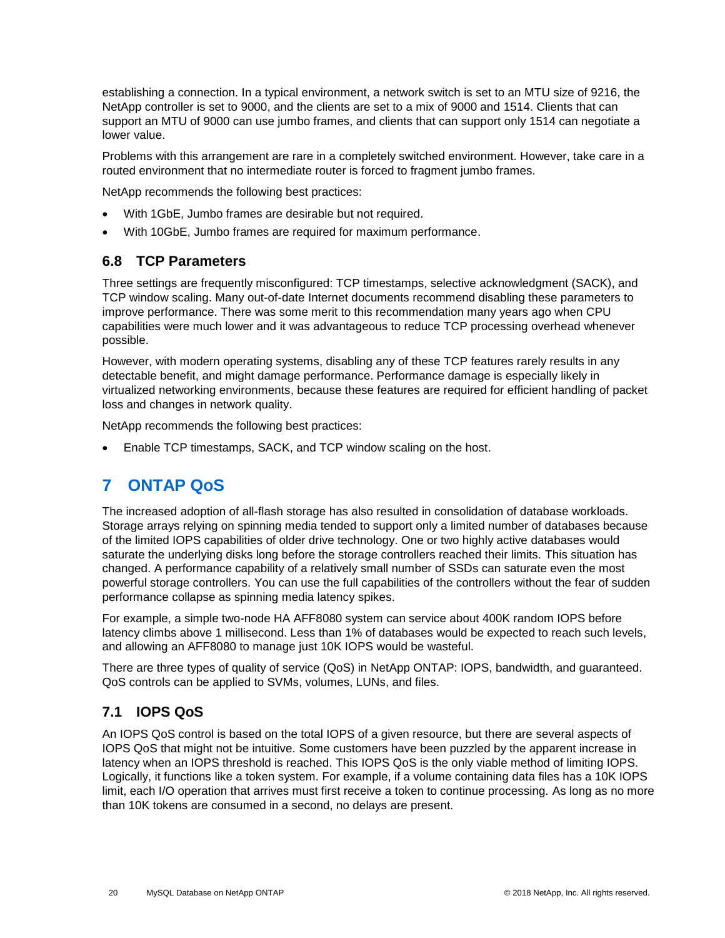establishing a connection. In a typical environment, a network switch is set to an MTU size of 9216, the NetApp controller is set to 9000, and the clients are set to a mix of 9000 and 1514. Clients that can support an MTU of 9000 can use jumbo frames, and clients that can support only 1514 can negotiate a lower value.

Problems with this arrangement are rare in a completely switched environment. However, take care in a routed environment that no intermediate router is forced to fragment jumbo frames.

NetApp recommends the following best practices:

- With 1GbE, Jumbo frames are desirable but not required.
- With 10GbE, Jumbo frames are required for maximum performance.

### <span id="page-19-0"></span>**6.8 TCP Parameters**

Three settings are frequently misconfigured: TCP timestamps, selective acknowledgment (SACK), and TCP window scaling. Many out-of-date Internet documents recommend disabling these parameters to improve performance. There was some merit to this recommendation many years ago when CPU capabilities were much lower and it was advantageous to reduce TCP processing overhead whenever possible.

However, with modern operating systems, disabling any of these TCP features rarely results in any detectable benefit, and might damage performance. Performance damage is especially likely in virtualized networking environments, because these features are required for efficient handling of packet loss and changes in network quality.

NetApp recommends the following best practices:

<span id="page-19-1"></span>• Enable TCP timestamps, SACK, and TCP window scaling on the host.

## **7 ONTAP QoS**

The increased adoption of all-flash storage has also resulted in consolidation of database workloads. Storage arrays relying on spinning media tended to support only a limited number of databases because of the limited IOPS capabilities of older drive technology. One or two highly active databases would saturate the underlying disks long before the storage controllers reached their limits. This situation has changed. A performance capability of a relatively small number of SSDs can saturate even the most powerful storage controllers. You can use the full capabilities of the controllers without the fear of sudden performance collapse as spinning media latency spikes.

For example, a simple two-node HA AFF8080 system can service about 400K random IOPS before latency climbs above 1 millisecond. Less than 1% of databases would be expected to reach such levels, and allowing an AFF8080 to manage just 10K IOPS would be wasteful.

There are three types of quality of service (QoS) in NetApp ONTAP: IOPS, bandwidth, and guaranteed. QoS controls can be applied to SVMs, volumes, LUNs, and files.

### <span id="page-19-2"></span>**7.1 IOPS QoS**

An IOPS QoS control is based on the total IOPS of a given resource, but there are several aspects of IOPS QoS that might not be intuitive. Some customers have been puzzled by the apparent increase in latency when an IOPS threshold is reached. This IOPS QoS is the only viable method of limiting IOPS. Logically, it functions like a token system. For example, if a volume containing data files has a 10K IOPS limit, each I/O operation that arrives must first receive a token to continue processing. As long as no more than 10K tokens are consumed in a second, no delays are present.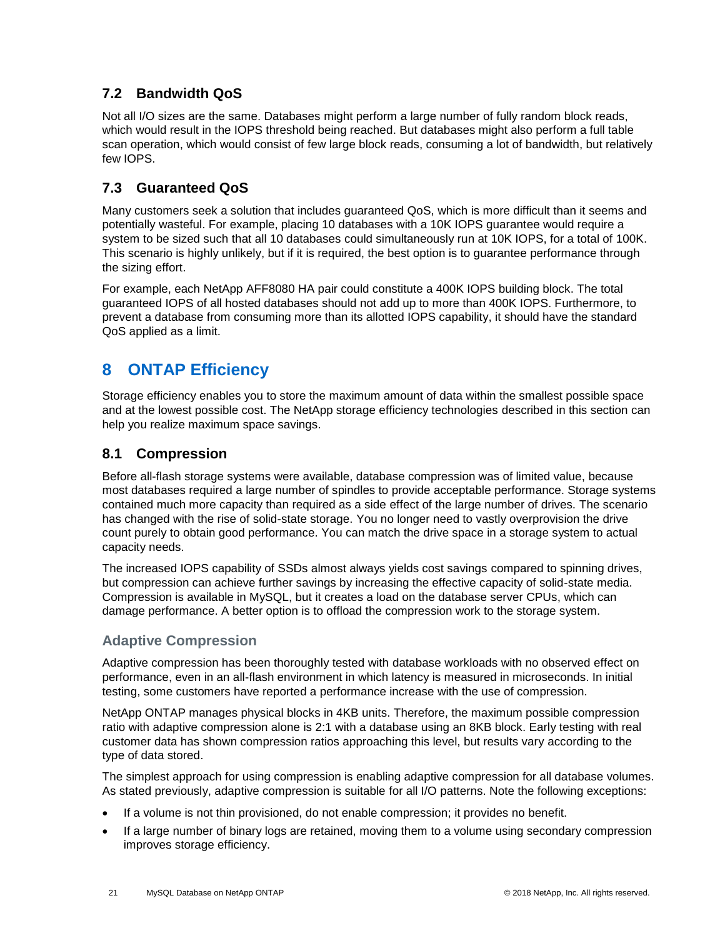### <span id="page-20-0"></span>**7.2 Bandwidth QoS**

Not all I/O sizes are the same. Databases might perform a large number of fully random block reads, which would result in the IOPS threshold being reached. But databases might also perform a full table scan operation, which would consist of few large block reads, consuming a lot of bandwidth, but relatively few IOPS.

### <span id="page-20-1"></span>**7.3 Guaranteed QoS**

Many customers seek a solution that includes guaranteed QoS, which is more difficult than it seems and potentially wasteful. For example, placing 10 databases with a 10K IOPS guarantee would require a system to be sized such that all 10 databases could simultaneously run at 10K IOPS, for a total of 100K. This scenario is highly unlikely, but if it is required, the best option is to guarantee performance through the sizing effort.

For example, each NetApp AFF8080 HA pair could constitute a 400K IOPS building block. The total guaranteed IOPS of all hosted databases should not add up to more than 400K IOPS. Furthermore, to prevent a database from consuming more than its allotted IOPS capability, it should have the standard QoS applied as a limit.

## <span id="page-20-2"></span>**8 ONTAP Efficiency**

Storage efficiency enables you to store the maximum amount of data within the smallest possible space and at the lowest possible cost. The NetApp storage efficiency technologies described in this section can help you realize maximum space savings.

### <span id="page-20-3"></span>**8.1 Compression**

Before all-flash storage systems were available, database compression was of limited value, because most databases required a large number of spindles to provide acceptable performance. Storage systems contained much more capacity than required as a side effect of the large number of drives. The scenario has changed with the rise of solid-state storage. You no longer need to vastly overprovision the drive count purely to obtain good performance. You can match the drive space in a storage system to actual capacity needs.

The increased IOPS capability of SSDs almost always yields cost savings compared to spinning drives, but compression can achieve further savings by increasing the effective capacity of solid-state media. Compression is available in MySQL, but it creates a load on the database server CPUs, which can damage performance. A better option is to offload the compression work to the storage system.

### **Adaptive Compression**

Adaptive compression has been thoroughly tested with database workloads with no observed effect on performance, even in an all-flash environment in which latency is measured in microseconds. In initial testing, some customers have reported a performance increase with the use of compression.

NetApp ONTAP manages physical blocks in 4KB units. Therefore, the maximum possible compression ratio with adaptive compression alone is 2:1 with a database using an 8KB block. Early testing with real customer data has shown compression ratios approaching this level, but results vary according to the type of data stored.

The simplest approach for using compression is enabling adaptive compression for all database volumes. As stated previously, adaptive compression is suitable for all I/O patterns. Note the following exceptions:

- If a volume is not thin provisioned, do not enable compression; it provides no benefit.
- If a large number of binary logs are retained, moving them to a volume using secondary compression improves storage efficiency.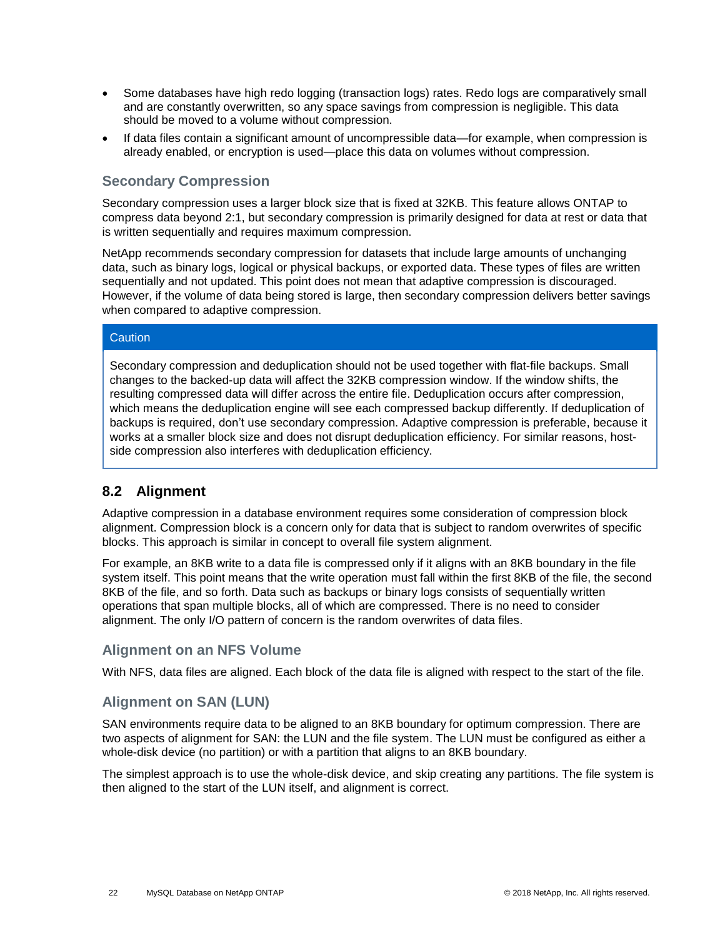- Some databases have high redo logging (transaction logs) rates. Redo logs are comparatively small and are constantly overwritten, so any space savings from compression is negligible. This data should be moved to a volume without compression.
- If data files contain a significant amount of uncompressible data—for example, when compression is already enabled, or encryption is used—place this data on volumes without compression.

#### **Secondary Compression**

Secondary compression uses a larger block size that is fixed at 32KB. This feature allows ONTAP to compress data beyond 2:1, but secondary compression is primarily designed for data at rest or data that is written sequentially and requires maximum compression.

NetApp recommends secondary compression for datasets that include large amounts of unchanging data, such as binary logs, logical or physical backups, or exported data. These types of files are written sequentially and not updated. This point does not mean that adaptive compression is discouraged. However, if the volume of data being stored is large, then secondary compression delivers better savings when compared to adaptive compression.

#### **Caution**

Secondary compression and deduplication should not be used together with flat-file backups. Small changes to the backed-up data will affect the 32KB compression window. If the window shifts, the resulting compressed data will differ across the entire file. Deduplication occurs after compression, which means the deduplication engine will see each compressed backup differently. If deduplication of backups is required, don't use secondary compression. Adaptive compression is preferable, because it works at a smaller block size and does not disrupt deduplication efficiency. For similar reasons, hostside compression also interferes with deduplication efficiency.

### <span id="page-21-0"></span>**8.2 Alignment**

Adaptive compression in a database environment requires some consideration of compression block alignment. Compression block is a concern only for data that is subject to random overwrites of specific blocks. This approach is similar in concept to overall file system alignment.

For example, an 8KB write to a data file is compressed only if it aligns with an 8KB boundary in the file system itself. This point means that the write operation must fall within the first 8KB of the file, the second 8KB of the file, and so forth. Data such as backups or binary logs consists of sequentially written operations that span multiple blocks, all of which are compressed. There is no need to consider alignment. The only I/O pattern of concern is the random overwrites of data files.

#### **Alignment on an NFS Volume**

With NFS, data files are aligned. Each block of the data file is aligned with respect to the start of the file.

#### **Alignment on SAN (LUN)**

SAN environments require data to be aligned to an 8KB boundary for optimum compression. There are two aspects of alignment for SAN: the LUN and the file system. The LUN must be configured as either a whole-disk device (no partition) or with a partition that aligns to an 8KB boundary.

The simplest approach is to use the whole-disk device, and skip creating any partitions. The file system is then aligned to the start of the LUN itself, and alignment is correct.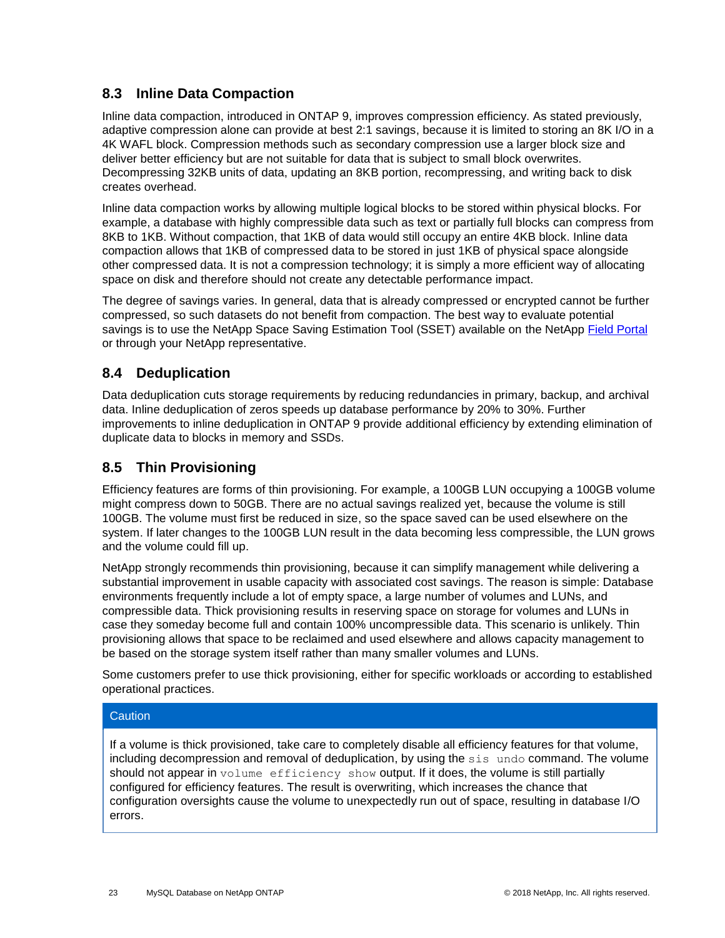### <span id="page-22-0"></span>**8.3 Inline Data Compaction**

Inline data compaction, introduced in ONTAP 9, improves compression efficiency. As stated previously, adaptive compression alone can provide at best 2:1 savings, because it is limited to storing an 8K I/O in a 4K WAFL block. Compression methods such as secondary compression use a larger block size and deliver better efficiency but are not suitable for data that is subject to small block overwrites. Decompressing 32KB units of data, updating an 8KB portion, recompressing, and writing back to disk creates overhead.

Inline data compaction works by allowing multiple logical blocks to be stored within physical blocks. For example, a database with highly compressible data such as text or partially full blocks can compress from 8KB to 1KB. Without compaction, that 1KB of data would still occupy an entire 4KB block. Inline data compaction allows that 1KB of compressed data to be stored in just 1KB of physical space alongside other compressed data. It is not a compression technology; it is simply a more efficient way of allocating space on disk and therefore should not create any detectable performance impact.

The degree of savings varies. In general, data that is already compressed or encrypted cannot be further compressed, so such datasets do not benefit from compaction. The best way to evaluate potential savings is to use the NetApp Space Saving Estimation Tool (SSET) available on the NetApp [Field Portal](https://fieldportal.netapp.com/explore/158754) or through your NetApp representative.

### <span id="page-22-1"></span>**8.4 Deduplication**

Data deduplication cuts storage requirements by reducing redundancies in primary, backup, and archival data. Inline deduplication of zeros speeds up database performance by 20% to 30%. Further improvements to inline deduplication in ONTAP 9 provide additional efficiency by extending elimination of duplicate data to blocks in memory and SSDs.

### <span id="page-22-2"></span>**8.5 Thin Provisioning**

Efficiency features are forms of thin provisioning. For example, a 100GB LUN occupying a 100GB volume might compress down to 50GB. There are no actual savings realized yet, because the volume is still 100GB. The volume must first be reduced in size, so the space saved can be used elsewhere on the system. If later changes to the 100GB LUN result in the data becoming less compressible, the LUN grows and the volume could fill up.

NetApp strongly recommends thin provisioning, because it can simplify management while delivering a substantial improvement in usable capacity with associated cost savings. The reason is simple: Database environments frequently include a lot of empty space, a large number of volumes and LUNs, and compressible data. Thick provisioning results in reserving space on storage for volumes and LUNs in case they someday become full and contain 100% uncompressible data. This scenario is unlikely. Thin provisioning allows that space to be reclaimed and used elsewhere and allows capacity management to be based on the storage system itself rather than many smaller volumes and LUNs.

Some customers prefer to use thick provisioning, either for specific workloads or according to established operational practices.

#### **Caution**

If a volume is thick provisioned, take care to completely disable all efficiency features for that volume, including decompression and removal of deduplication, by using the sis undo command. The volume should not appear in volume efficiency show output. If it does, the volume is still partially configured for efficiency features. The result is overwriting, which increases the chance that configuration oversights cause the volume to unexpectedly run out of space, resulting in database I/O errors.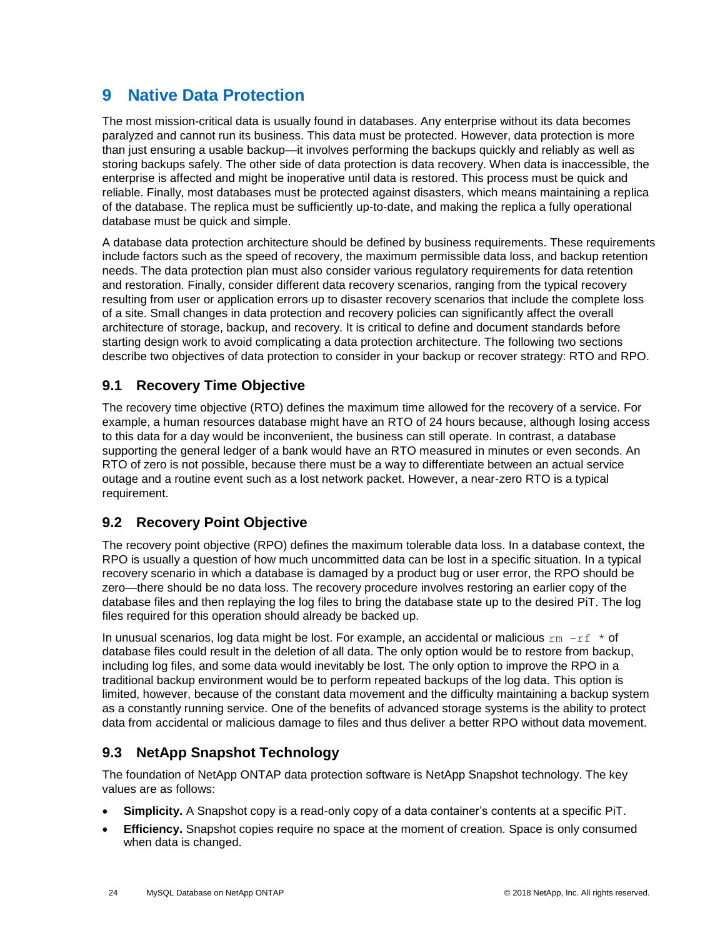## <span id="page-23-0"></span>**9 Native Data Protection**

The most mission-critical data is usually found in databases. Any enterprise without its data becomes paralyzed and cannot run its business. This data must be protected. However, data protection is more than just ensuring a usable backup—it involves performing the backups quickly and reliably as well as storing backups safely. The other side of data protection is data recovery. When data is inaccessible, the enterprise is affected and might be inoperative until data is restored. This process must be quick and reliable. Finally, most databases must be protected against disasters, which means maintaining a replica of the database. The replica must be sufficiently up-to-date, and making the replica a fully operational database must be quick and simple.

A database data protection architecture should be defined by business requirements. These requirements include factors such as the speed of recovery, the maximum permissible data loss, and backup retention needs. The data protection plan must also consider various regulatory requirements for data retention and restoration. Finally, consider different data recovery scenarios, ranging from the typical recovery resulting from user or application errors up to disaster recovery scenarios that include the complete loss of a site. Small changes in data protection and recovery policies can significantly affect the overall architecture of storage, backup, and recovery. It is critical to define and document standards before starting design work to avoid complicating a data protection architecture. The following two sections describe two objectives of data protection to consider in your backup or recover strategy: RTO and RPO.

### <span id="page-23-1"></span>**9.1 Recovery Time Objective**

The recovery time objective (RTO) defines the maximum time allowed for the recovery of a service. For example, a human resources database might have an RTO of 24 hours because, although losing access to this data for a day would be inconvenient, the business can still operate. In contrast, a database supporting the general ledger of a bank would have an RTO measured in minutes or even seconds. An RTO of zero is not possible, because there must be a way to differentiate between an actual service outage and a routine event such as a lost network packet. However, a near-zero RTO is a typical requirement.

### <span id="page-23-2"></span>**9.2 Recovery Point Objective**

The recovery point objective (RPO) defines the maximum tolerable data loss. In a database context, the RPO is usually a question of how much uncommitted data can be lost in a specific situation. In a typical recovery scenario in which a database is damaged by a product bug or user error, the RPO should be zero—there should be no data loss. The recovery procedure involves restoring an earlier copy of the database files and then replaying the log files to bring the database state up to the desired PiT. The log files required for this operation should already be backed up.

In unusual scenarios, log data might be lost. For example, an accidental or malicious  $rm -rf \cdot *$  of database files could result in the deletion of all data. The only option would be to restore from backup, including log files, and some data would inevitably be lost. The only option to improve the RPO in a traditional backup environment would be to perform repeated backups of the log data. This option is limited, however, because of the constant data movement and the difficulty maintaining a backup system as a constantly running service. One of the benefits of advanced storage systems is the ability to protect data from accidental or malicious damage to files and thus deliver a better RPO without data movement.

### <span id="page-23-3"></span>**9.3 NetApp Snapshot Technology**

The foundation of NetApp ONTAP data protection software is NetApp Snapshot technology. The key values are as follows:

- **Simplicity.** A Snapshot copy is a read-only copy of a data container's contents at a specific PiT.
- **Efficiency.** Snapshot copies require no space at the moment of creation. Space is only consumed when data is changed.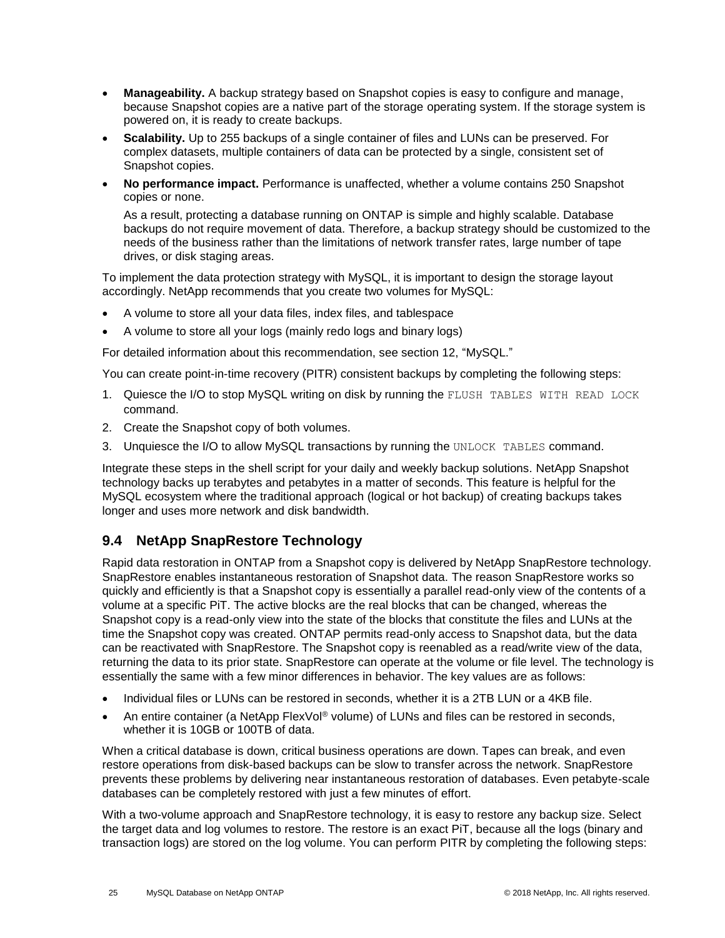- **Manageability.** A backup strategy based on Snapshot copies is easy to configure and manage, because Snapshot copies are a native part of the storage operating system. If the storage system is powered on, it is ready to create backups.
- **Scalability.** Up to 255 backups of a single container of files and LUNs can be preserved. For complex datasets, multiple containers of data can be protected by a single, consistent set of Snapshot copies.
- **No performance impact.** Performance is unaffected, whether a volume contains 250 Snapshot copies or none.

As a result, protecting a database running on ONTAP is simple and highly scalable. Database backups do not require movement of data. Therefore, a backup strategy should be customized to the needs of the business rather than the limitations of network transfer rates, large number of tape drives, or disk staging areas.

To implement the data protection strategy with MySQL, it is important to design the storage layout accordingly. NetApp recommends that you create two volumes for MySQL:

- A volume to store all your data files, index files, and tablespace
- A volume to store all your logs (mainly redo logs and binary logs)

For detailed information about this recommendation, see section 12, ["MySQL.](#page-30-1)"

You can create point-in-time recovery (PITR) consistent backups by completing the following steps:

- 1. Quiesce the I/O to stop MySQL writing on disk by running the FLUSH TABLES WITH READ LOCK command.
- 2. Create the Snapshot copy of both volumes.
- 3. Unquiesce the I/O to allow MySQL transactions by running the UNLOCK TABLES command.

Integrate these steps in the shell script for your daily and weekly backup solutions. NetApp Snapshot technology backs up terabytes and petabytes in a matter of seconds. This feature is helpful for the MySQL ecosystem where the traditional approach (logical or hot backup) of creating backups takes longer and uses more network and disk bandwidth.

### <span id="page-24-0"></span>**9.4 NetApp SnapRestore Technology**

Rapid data restoration in ONTAP from a Snapshot copy is delivered by NetApp SnapRestore technology. SnapRestore enables instantaneous restoration of Snapshot data. The reason SnapRestore works so quickly and efficiently is that a Snapshot copy is essentially a parallel read-only view of the contents of a volume at a specific PiT. The active blocks are the real blocks that can be changed, whereas the Snapshot copy is a read-only view into the state of the blocks that constitute the files and LUNs at the time the Snapshot copy was created. ONTAP permits read-only access to Snapshot data, but the data can be reactivated with SnapRestore. The Snapshot copy is reenabled as a read/write view of the data, returning the data to its prior state. SnapRestore can operate at the volume or file level. The technology is essentially the same with a few minor differences in behavior. The key values are as follows:

- Individual files or LUNs can be restored in seconds, whether it is a 2TB LUN or a 4KB file.
- An entire container (a NetApp FlexVol® volume) of LUNs and files can be restored in seconds, whether it is 10GB or 100TB of data.

When a critical database is down, critical business operations are down. Tapes can break, and even restore operations from disk-based backups can be slow to transfer across the network. SnapRestore prevents these problems by delivering near instantaneous restoration of databases. Even petabyte-scale databases can be completely restored with just a few minutes of effort.

With a two-volume approach and SnapRestore technology, it is easy to restore any backup size. Select the target data and log volumes to restore. The restore is an exact PiT, because all the logs (binary and transaction logs) are stored on the log volume. You can perform PITR by completing the following steps: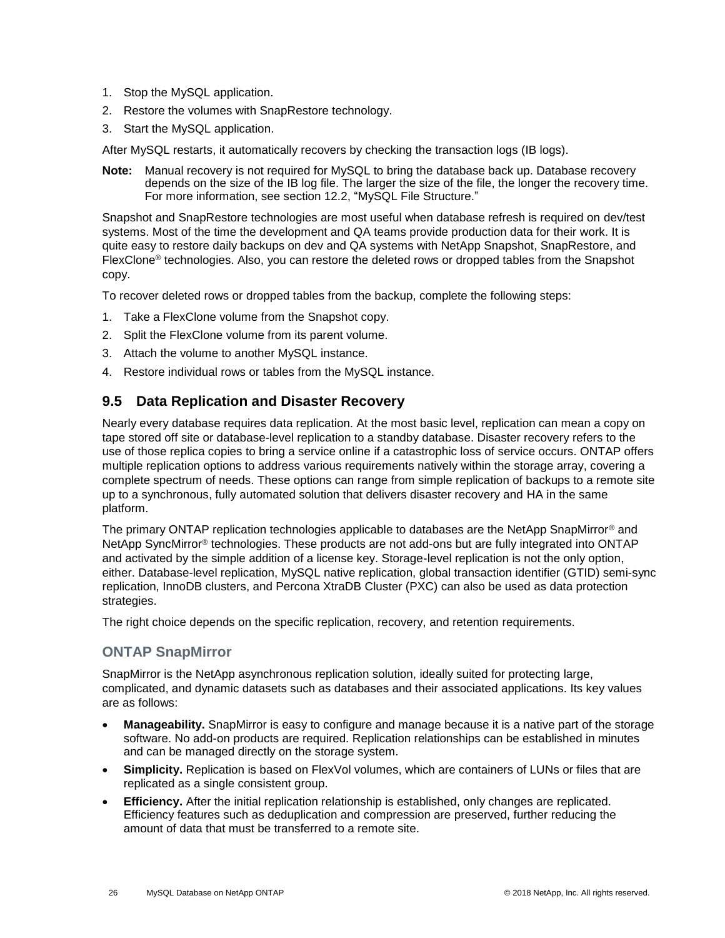- 1. Stop the MySQL application.
- 2. Restore the volumes with SnapRestore technology.
- 3. Start the MySQL application.

After MySQL restarts, it automatically recovers by checking the transaction logs (IB logs).

**Note:** Manual recovery is not required for MySQL to bring the database back up. Database recovery depends on the size of the IB log file. The larger the size of the file, the longer the recovery time. For more information, see section 12.2, ["MySQL File Structure.](#page-31-0)"

Snapshot and SnapRestore technologies are most useful when database refresh is required on dev/test systems. Most of the time the development and QA teams provide production data for their work. It is quite easy to restore daily backups on dev and QA systems with NetApp Snapshot, SnapRestore, and FlexClone® technologies. Also, you can restore the deleted rows or dropped tables from the Snapshot copy.

To recover deleted rows or dropped tables from the backup, complete the following steps:

- 1. Take a FlexClone volume from the Snapshot copy.
- 2. Split the FlexClone volume from its parent volume.
- 3. Attach the volume to another MySQL instance.
- 4. Restore individual rows or tables from the MySQL instance.

#### <span id="page-25-0"></span>**9.5 Data Replication and Disaster Recovery**

Nearly every database requires data replication. At the most basic level, replication can mean a copy on tape stored off site or database-level replication to a standby database. Disaster recovery refers to the use of those replica copies to bring a service online if a catastrophic loss of service occurs. ONTAP offers multiple replication options to address various requirements natively within the storage array, covering a complete spectrum of needs. These options can range from simple replication of backups to a remote site up to a synchronous, fully automated solution that delivers disaster recovery and HA in the same platform.

The primary ONTAP replication technologies applicable to databases are the NetApp SnapMirror® and NetApp SyncMirror® technologies. These products are not add-ons but are fully integrated into ONTAP and activated by the simple addition of a license key. Storage-level replication is not the only option, either. Database-level replication, MySQL native replication, global transaction identifier (GTID) semi-sync replication, InnoDB clusters, and Percona XtraDB Cluster (PXC) can also be used as data protection strategies.

The right choice depends on the specific replication, recovery, and retention requirements.

#### **ONTAP SnapMirror**

SnapMirror is the NetApp asynchronous replication solution, ideally suited for protecting large, complicated, and dynamic datasets such as databases and their associated applications. Its key values are as follows:

- **Manageability.** SnapMirror is easy to configure and manage because it is a native part of the storage software. No add-on products are required. Replication relationships can be established in minutes and can be managed directly on the storage system.
- **Simplicity.** Replication is based on FlexVol volumes, which are containers of LUNs or files that are replicated as a single consistent group.
- **Efficiency.** After the initial replication relationship is established, only changes are replicated. Efficiency features such as deduplication and compression are preserved, further reducing the amount of data that must be transferred to a remote site.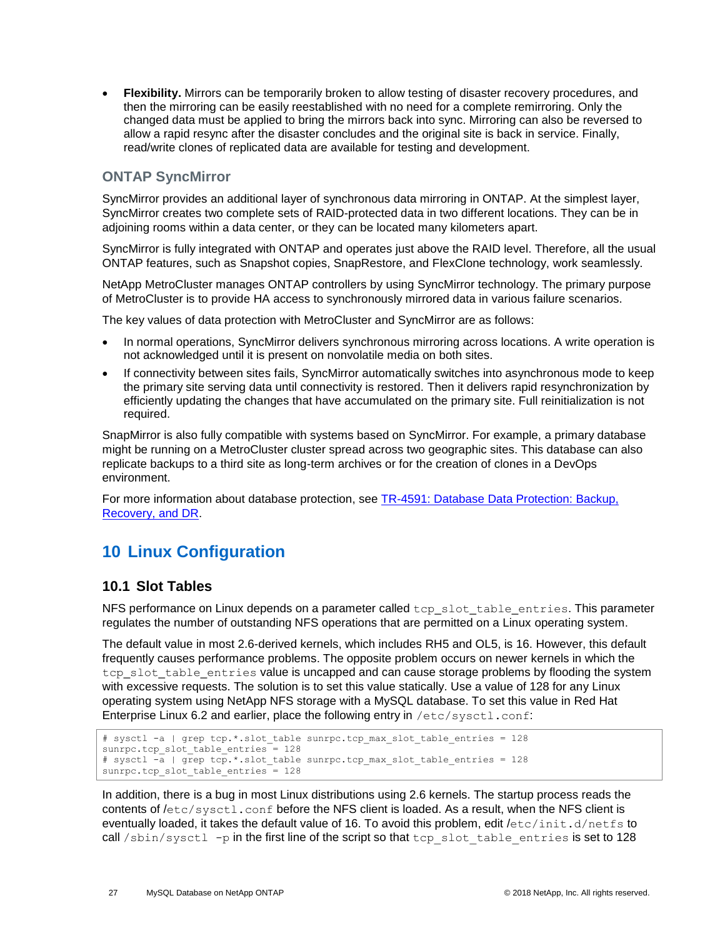• **Flexibility.** Mirrors can be temporarily broken to allow testing of disaster recovery procedures, and then the mirroring can be easily reestablished with no need for a complete remirroring. Only the changed data must be applied to bring the mirrors back into sync. Mirroring can also be reversed to allow a rapid resync after the disaster concludes and the original site is back in service. Finally, read/write clones of replicated data are available for testing and development.

#### **ONTAP SyncMirror**

SyncMirror provides an additional layer of synchronous data mirroring in ONTAP. At the simplest layer, SyncMirror creates two complete sets of RAID-protected data in two different locations. They can be in adjoining rooms within a data center, or they can be located many kilometers apart.

SyncMirror is fully integrated with ONTAP and operates just above the RAID level. Therefore, all the usual ONTAP features, such as Snapshot copies, SnapRestore, and FlexClone technology, work seamlessly.

NetApp MetroCluster manages ONTAP controllers by using SyncMirror technology. The primary purpose of MetroCluster is to provide HA access to synchronously mirrored data in various failure scenarios.

The key values of data protection with MetroCluster and SyncMirror are as follows:

- In normal operations, SyncMirror delivers synchronous mirroring across locations. A write operation is not acknowledged until it is present on nonvolatile media on both sites.
- If connectivity between sites fails, SyncMirror automatically switches into asynchronous mode to keep the primary site serving data until connectivity is restored. Then it delivers rapid resynchronization by efficiently updating the changes that have accumulated on the primary site. Full reinitialization is not required.

SnapMirror is also fully compatible with systems based on SyncMirror. For example, a primary database might be running on a MetroCluster cluster spread across two geographic sites. This database can also replicate backups to a third site as long-term archives or for the creation of clones in a DevOps environment.

For more information about database protection, see **TR-4591**: Database Data Protection: Backup, Recovery, and DR.

## <span id="page-26-0"></span>**10 Linux Configuration**

#### <span id="page-26-1"></span>**10.1 Slot Tables**

NFS performance on Linux depends on a parameter called tcp\_slot\_table\_entries. This parameter regulates the number of outstanding NFS operations that are permitted on a Linux operating system.

The default value in most 2.6-derived kernels, which includes RH5 and OL5, is 16. However, this default frequently causes performance problems. The opposite problem occurs on newer kernels in which the tcp\_slot\_table\_entries value is uncapped and can cause storage problems by flooding the system with excessive requests. The solution is to set this value statically. Use a value of 128 for any Linux operating system using NetApp NFS storage with a MySQL database. To set this value in Red Hat Enterprise Linux 6.2 and earlier, place the following entry in /etc/sysctl.conf:

```
# sysctl -a | grep tcp.*.slot table sunrpc.tcp max slot table entries = 128
sunrpc.tcp_slot_table_entries = 128 
# sysctl -a | grep tcp.*.slot_table sunrpc.tcp_max_slot_table_entries = 128 
sunrpc.tcp slot table entries = 128
```
In addition, there is a bug in most Linux distributions using 2.6 kernels. The startup process reads the contents of  $/etc/svset1$ .conf before the NFS client is loaded. As a result, when the NFS client is eventually loaded, it takes the default value of 16. To avoid this problem, edit /etc/init.d/netfs to call  $/\sin/\text{syst}$  -p in the first line of the script so that tcp slot table entries is set to 128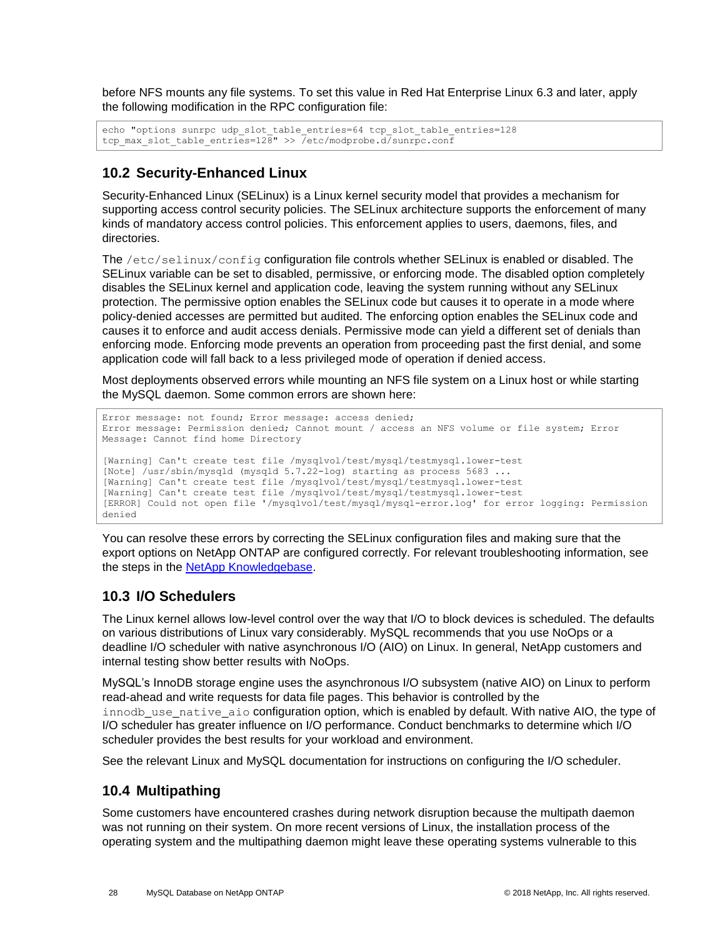before NFS mounts any file systems. To set this value in Red Hat Enterprise Linux 6.3 and later, apply the following modification in the RPC configuration file:

```
echo "options sunrpc udp_slot_table_entries=64 tcp_slot_table_entries=128
tcp_max_slot_table_entries=128" >> /etc/modprobe.d/sunrpc.conf
```
### <span id="page-27-0"></span>**10.2 Security-Enhanced Linux**

Security-Enhanced Linux (SELinux) is a Linux kernel security model that provides a mechanism for supporting access control security policies. The SELinux architecture supports the enforcement of many kinds of mandatory access control policies. This enforcement applies to users, daemons, files, and directories.

The /etc/selinux/config configuration file controls whether SELinux is enabled or disabled. The SELinux variable can be set to disabled, permissive, or enforcing mode. The disabled option completely disables the SELinux kernel and application code, leaving the system running without any SELinux protection. The permissive option enables the SELinux code but causes it to operate in a mode where policy-denied accesses are permitted but audited. The enforcing option enables the SELinux code and causes it to enforce and audit access denials. Permissive mode can yield a different set of denials than enforcing mode. Enforcing mode prevents an operation from proceeding past the first denial, and some application code will fall back to a less privileged mode of operation if denied access.

Most deployments observed errors while mounting an NFS file system on a Linux host or while starting the MySQL daemon. Some common errors are shown here:

```
Error message: not found; Error message: access denied;
Error message: Permission denied; Cannot mount / access an NFS volume or file system; Error 
Message: Cannot find home Directory
[Warning] Can't create test file /mysqlvol/test/mysql/testmysql.lower-test
[Note] /usr/sbin/mysqld (mysqld 5.7.22-log) starting as process 5683 ...
[Warning] Can't create test file /mysqlvol/test/mysql/testmysql.lower-test
[Warning] Can't create test file /mysqlvol/test/mysql/testmysql.lower-test
[ERROR] Could not open file '/mysqlvol/test/mysql/mysql-error.log' for error logging: Permission 
denied
```
You can resolve these errors by correcting the SELinux configuration files and making sure that the export options on NetApp ONTAP are configured correctly. For relevant troubleshooting information, see the steps in the **NetApp Knowledgebase**.

### <span id="page-27-1"></span>**10.3 I/O Schedulers**

The Linux kernel allows low-level control over the way that I/O to block devices is scheduled. The defaults on various distributions of Linux vary considerably. MySQL recommends that you use NoOps or a deadline I/O scheduler with native asynchronous I/O (AIO) on Linux. In general, NetApp customers and internal testing show better results with NoOps.

MySQL's InnoDB storage engine uses the asynchronous I/O subsystem (native AIO) on Linux to perform read-ahead and write requests for data file pages. This behavior is controlled by the innodb use native aio configuration option, which is enabled by default. With native AIO, the type of I/O scheduler has greater influence on I/O performance. Conduct benchmarks to determine which I/O scheduler provides the best results for your workload and environment.

See the relevant Linux and MySQL documentation for instructions on configuring the I/O scheduler.

### <span id="page-27-2"></span>**10.4 Multipathing**

Some customers have encountered crashes during network disruption because the multipath daemon was not running on their system. On more recent versions of Linux, the installation process of the operating system and the multipathing daemon might leave these operating systems vulnerable to this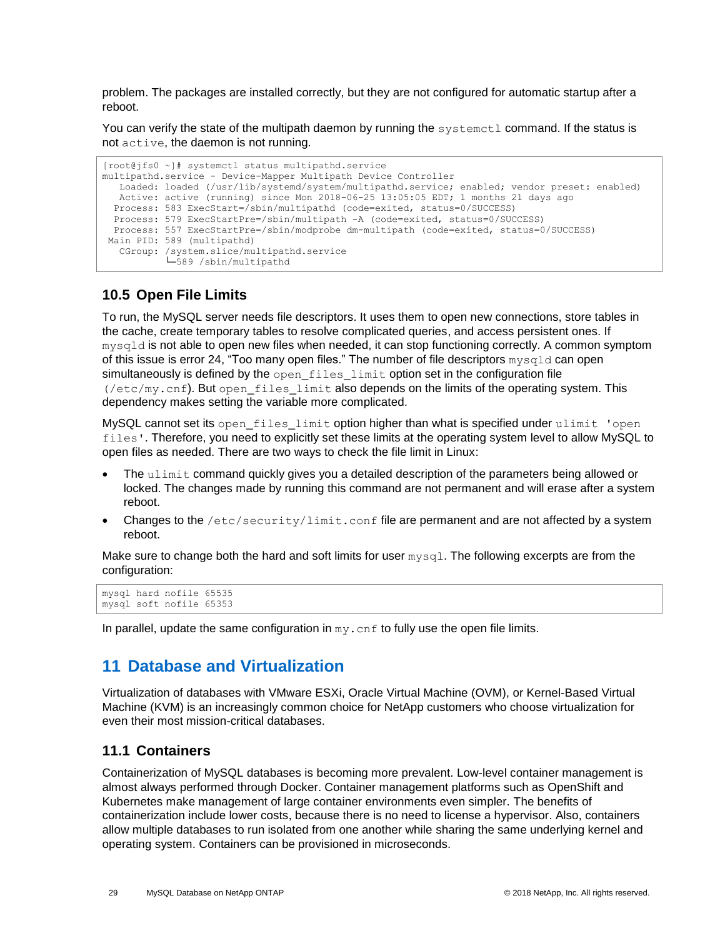problem. The packages are installed correctly, but they are not configured for automatic startup after a reboot.

You can verify the state of the multipath daemon by running the systemetl command. If the status is not active, the daemon is not running.

```
[root@jfs0 ~]# systemctl status multipathd.service
multipathd.service - Device-Mapper Multipath Device Controller
   Loaded: loaded (/usr/lib/systemd/system/multipathd.service; enabled; vendor preset: enabled)
   Active: active (running) since Mon 2018-06-25 13:05:05 EDT; 1 months 21 days ago
   Process: 583 ExecStart=/sbin/multipathd (code=exited, status=0/SUCCESS)
   Process: 579 ExecStartPre=/sbin/multipath -A (code=exited, status=0/SUCCESS)
  Process: 557 ExecStartPre=/sbin/modprobe dm-multipath (code=exited, status=0/SUCCESS)
Main PID: 589 (multipathd)
   CGroup: /system.slice/multipathd.service
            └─589 /sbin/multipathd
```
### <span id="page-28-0"></span>**10.5 Open File Limits**

To run, the MySQL server needs file descriptors. It uses them to open new connections, store tables in the cache, create temporary tables to resolve complicated queries, and access persistent ones. If mysqld is not able to open new files when needed, it can stop functioning correctly. A common symptom of this issue is error 24, "Too many open files." The number of file descriptors mysqld can open simultaneously is defined by the open\_files\_limit option set in the configuration file (/etc/my.cnf). But open\_files\_limit also depends on the limits of the operating system. This dependency makes setting the variable more complicated.

MySQL cannot set its open\_files\_limit option higher than what is specified under ulimit 'open files'. Therefore, you need to explicitly set these limits at the operating system level to allow MySQL to open files as needed. There are two ways to check the file limit in Linux:

- The ulimit command quickly gives you a detailed description of the parameters being allowed or locked. The changes made by running this command are not permanent and will erase after a system reboot.
- Changes to the /etc/security/limit.conf file are permanent and are not affected by a system reboot.

Make sure to change both the hard and soft limits for user  $mvsq1$ . The following excerpts are from the configuration:

```
mysql hard nofile 65535
mysql soft nofile 65353
```
In parallel, update the same configuration in  $my$ . cnf to fully use the open file limits.

### <span id="page-28-1"></span>**11 Database and Virtualization**

Virtualization of databases with VMware ESXi, Oracle Virtual Machine (OVM), or Kernel-Based Virtual Machine (KVM) is an increasingly common choice for NetApp customers who choose virtualization for even their most mission-critical databases.

#### <span id="page-28-2"></span>**11.1 Containers**

Containerization of MySQL databases is becoming more prevalent. Low-level container management is almost always performed through Docker. Container management platforms such as OpenShift and Kubernetes make management of large container environments even simpler. The benefits of containerization include lower costs, because there is no need to license a hypervisor. Also, containers allow multiple databases to run isolated from one another while sharing the same underlying kernel and operating system. Containers can be provisioned in microseconds.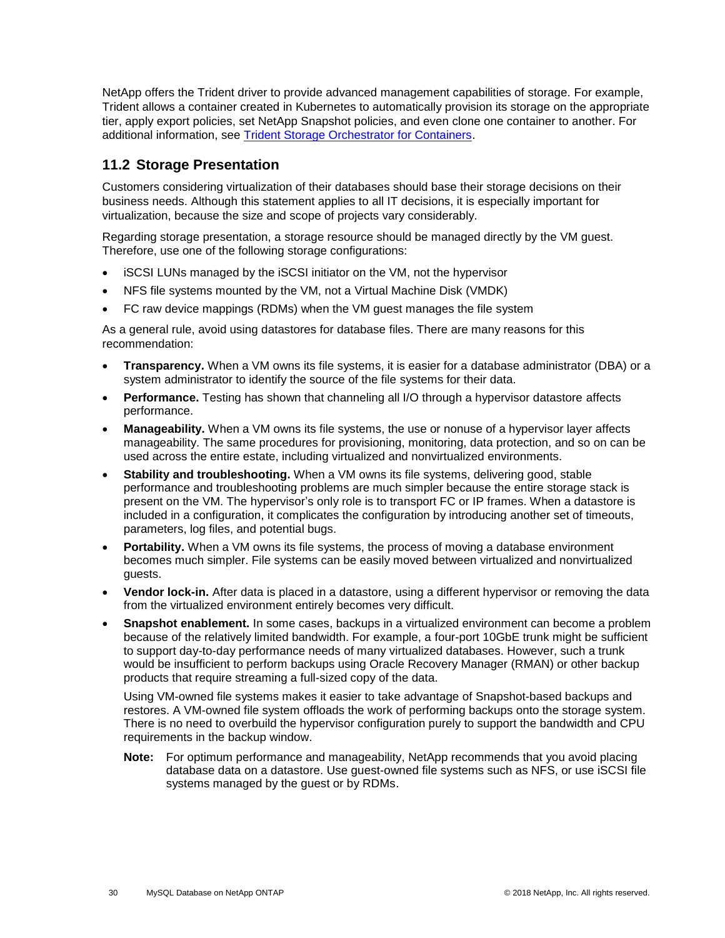NetApp offers the Trident driver to provide advanced management capabilities of storage. For example, Trident allows a container created in Kubernetes to automatically provision its storage on the appropriate tier, apply export policies, set NetApp Snapshot policies, and even clone one container to another. For additional information, see [Trident Storage Orchestrator for Containers.](https://netapp-trident.readthedocs.io/en/stable-v18.04/)

### <span id="page-29-0"></span>**11.2 Storage Presentation**

Customers considering virtualization of their databases should base their storage decisions on their business needs. Although this statement applies to all IT decisions, it is especially important for virtualization, because the size and scope of projects vary considerably.

Regarding storage presentation, a storage resource should be managed directly by the VM guest. Therefore, use one of the following storage configurations:

- iSCSI LUNs managed by the iSCSI initiator on the VM, not the hypervisor
- NFS file systems mounted by the VM, not a Virtual Machine Disk (VMDK)
- FC raw device mappings (RDMs) when the VM guest manages the file system

As a general rule, avoid using datastores for database files. There are many reasons for this recommendation:

- **Transparency.** When a VM owns its file systems, it is easier for a database administrator (DBA) or a system administrator to identify the source of the file systems for their data.
- **Performance.** Testing has shown that channeling all I/O through a hypervisor datastore affects performance.
- **Manageability.** When a VM owns its file systems, the use or nonuse of a hypervisor layer affects manageability. The same procedures for provisioning, monitoring, data protection, and so on can be used across the entire estate, including virtualized and nonvirtualized environments.
- **Stability and troubleshooting.** When a VM owns its file systems, delivering good, stable performance and troubleshooting problems are much simpler because the entire storage stack is present on the VM. The hypervisor's only role is to transport FC or IP frames. When a datastore is included in a configuration, it complicates the configuration by introducing another set of timeouts, parameters, log files, and potential bugs.
- **Portability.** When a VM owns its file systems, the process of moving a database environment becomes much simpler. File systems can be easily moved between virtualized and nonvirtualized guests.
- **Vendor lock-in.** After data is placed in a datastore, using a different hypervisor or removing the data from the virtualized environment entirely becomes very difficult.
- **Snapshot enablement.** In some cases, backups in a virtualized environment can become a problem because of the relatively limited bandwidth. For example, a four-port 10GbE trunk might be sufficient to support day-to-day performance needs of many virtualized databases. However, such a trunk would be insufficient to perform backups using Oracle Recovery Manager (RMAN) or other backup products that require streaming a full-sized copy of the data.

Using VM-owned file systems makes it easier to take advantage of Snapshot-based backups and restores. A VM-owned file system offloads the work of performing backups onto the storage system. There is no need to overbuild the hypervisor configuration purely to support the bandwidth and CPU requirements in the backup window.

**Note:** For optimum performance and manageability, NetApp recommends that you avoid placing database data on a datastore. Use guest-owned file systems such as NFS, or use iSCSI file systems managed by the guest or by RDMs.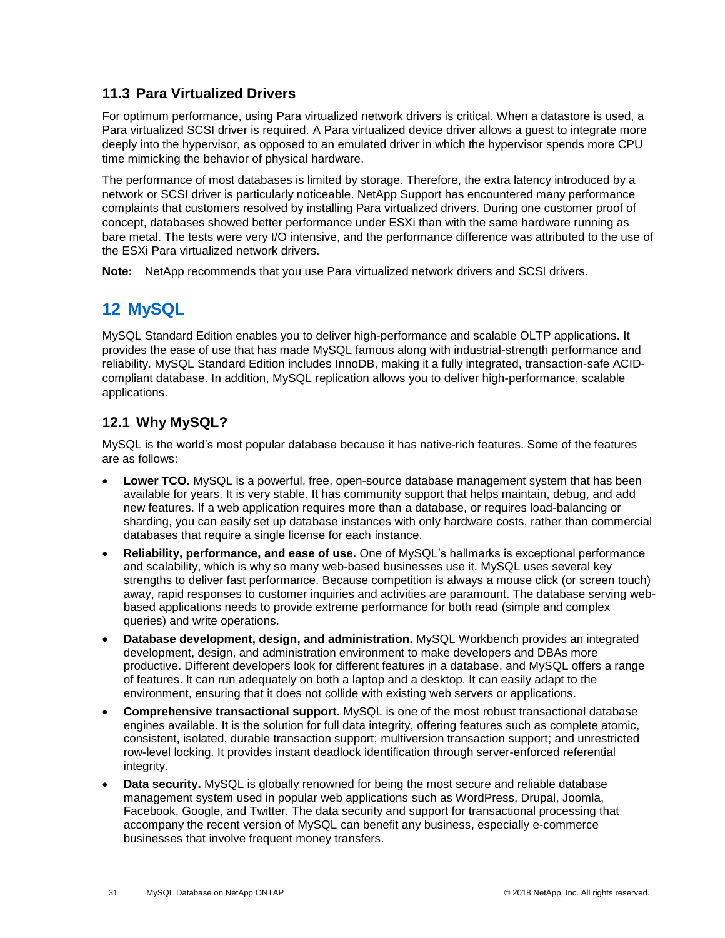### <span id="page-30-0"></span>**11.3 Para Virtualized Drivers**

For optimum performance, using Para virtualized network drivers is critical. When a datastore is used, a Para virtualized SCSI driver is required. A Para virtualized device driver allows a guest to integrate more deeply into the hypervisor, as opposed to an emulated driver in which the hypervisor spends more CPU time mimicking the behavior of physical hardware.

The performance of most databases is limited by storage. Therefore, the extra latency introduced by a network or SCSI driver is particularly noticeable. NetApp Support has encountered many performance complaints that customers resolved by installing Para virtualized drivers. During one customer proof of concept, databases showed better performance under ESXi than with the same hardware running as bare metal. The tests were very I/O intensive, and the performance difference was attributed to the use of the ESXi Para virtualized network drivers.

**Note:** NetApp recommends that you use Para virtualized network drivers and SCSI drivers.

## <span id="page-30-1"></span>**12 MySQL**

MySQL Standard Edition enables you to deliver high-performance and scalable OLTP applications. It provides the ease of use that has made MySQL famous along with industrial-strength performance and reliability. MySQL Standard Edition includes InnoDB, making it a fully integrated, transaction-safe ACIDcompliant database. In addition, MySQL replication allows you to deliver high-performance, scalable applications.

### <span id="page-30-2"></span>**12.1 Why MySQL?**

MySQL is the world's most popular database because it has native-rich features. Some of the features are as follows:

- **Lower TCO.** MySQL is a powerful, free, open-source database management system that has been available for years. It is very stable. It has community support that helps maintain, debug, and add new features. If a web application requires more than a database, or requires load-balancing or sharding, you can easily set up database instances with only hardware costs, rather than commercial databases that require a single license for each instance.
- **Reliability, performance, and ease of use.** One of MySQL's hallmarks is exceptional performance and scalability, which is why so many web-based businesses use it. MySQL uses several key strengths to deliver fast performance. Because competition is always a mouse click (or screen touch) away, rapid responses to customer inquiries and activities are paramount. The database serving webbased applications needs to provide extreme performance for both read (simple and complex queries) and write operations.
- **Database development, design, and administration.** MySQL Workbench provides an integrated development, design, and administration environment to make developers and DBAs more productive. Different developers look for different features in a database, and MySQL offers a range of features. It can run adequately on both a laptop and a desktop. It can easily adapt to the environment, ensuring that it does not collide with existing web servers or applications.
- **Comprehensive transactional support.** MySQL is one of the most robust transactional database engines available. It is the solution for full data integrity, offering features such as complete atomic, consistent, isolated, durable transaction support; multiversion transaction support; and unrestricted row-level locking. It provides instant deadlock identification through server-enforced referential integrity.
- **Data security.** MySQL is globally renowned for being the most secure and reliable database management system used in popular web applications such as WordPress, Drupal, Joomla, Facebook, Google, and Twitter. The data security and support for transactional processing that accompany the recent version of MySQL can benefit any business, especially e-commerce businesses that involve frequent money transfers.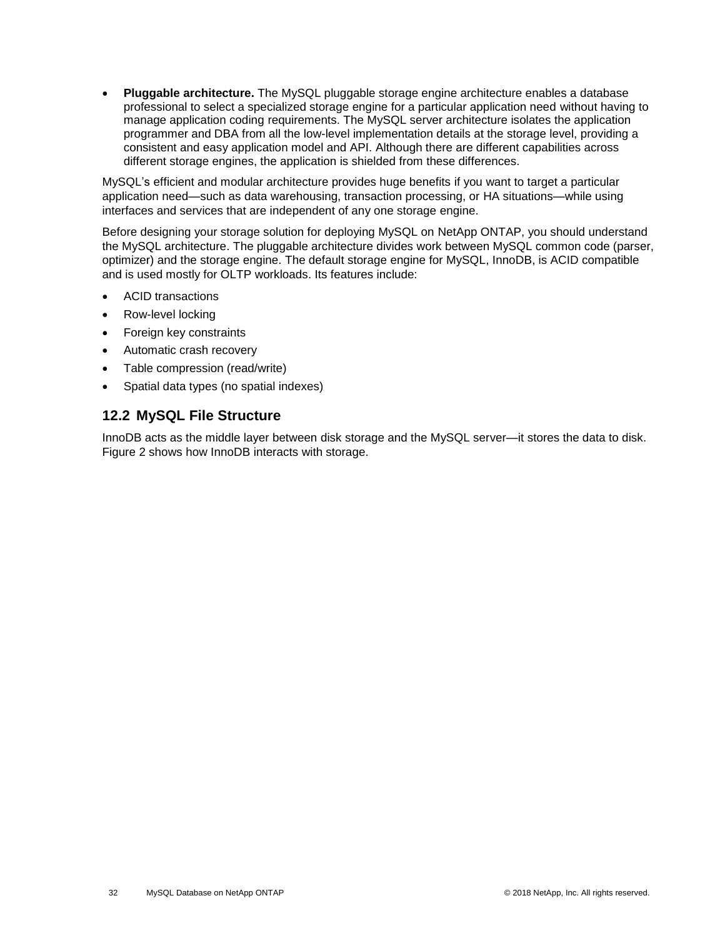• **Pluggable architecture.** The MySQL pluggable storage engine architecture enables a database professional to select a specialized storage engine for a particular application need without having to manage application coding requirements. The MySQL server architecture isolates the application programmer and DBA from all the low-level implementation details at the storage level, providing a consistent and easy application model and API. Although there are different capabilities across different storage engines, the application is shielded from these differences.

MySQL's efficient and modular architecture provides huge benefits if you want to target a particular application need—such as data warehousing, transaction processing, or HA situations—while using interfaces and services that are independent of any one storage engine.

Before designing your storage solution for deploying MySQL on NetApp ONTAP, you should understand the MySQL architecture. The pluggable architecture divides work between MySQL common code (parser, optimizer) and the storage engine. The default storage engine for MySQL, InnoDB, is ACID compatible and is used mostly for OLTP workloads. Its features include:

- ACID transactions
- Row-level locking
- Foreign key constraints
- Automatic crash recovery
- Table compression (read/write)
- Spatial data types (no spatial indexes)

#### <span id="page-31-0"></span>**12.2 MySQL File Structure**

InnoDB acts as the middle layer between disk storage and the MySQL server—it stores the data to disk. [Figure 2](#page-32-0) shows how InnoDB interacts with storage.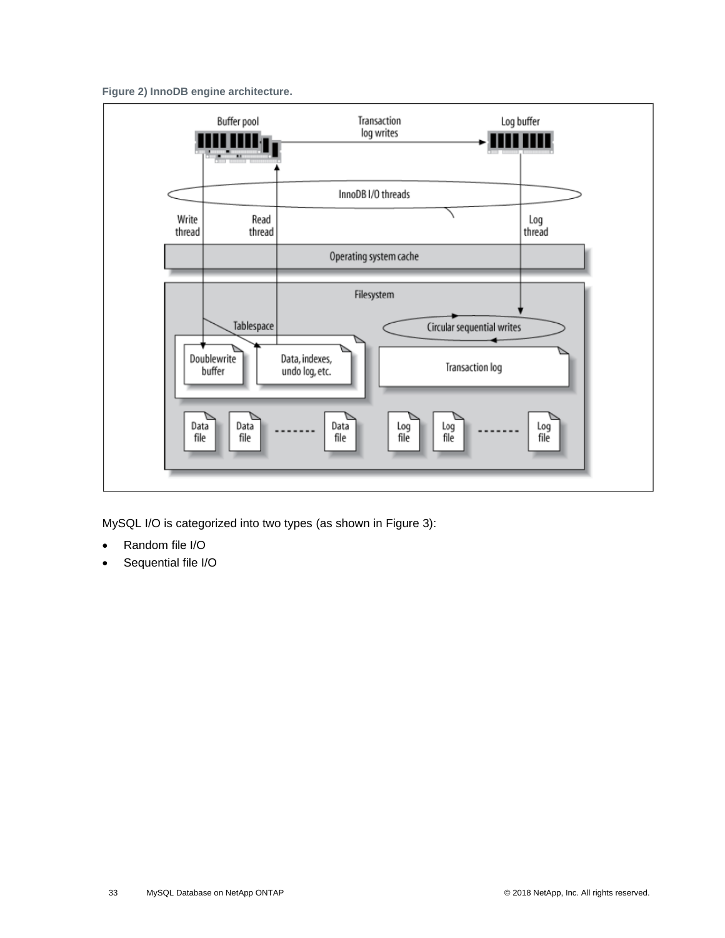<span id="page-32-0"></span>**Figure 2) InnoDB engine architecture.**



MySQL I/O is categorized into two types (as shown in [Figure 3\)](#page-33-0):

- Random file I/O
- Sequential file I/O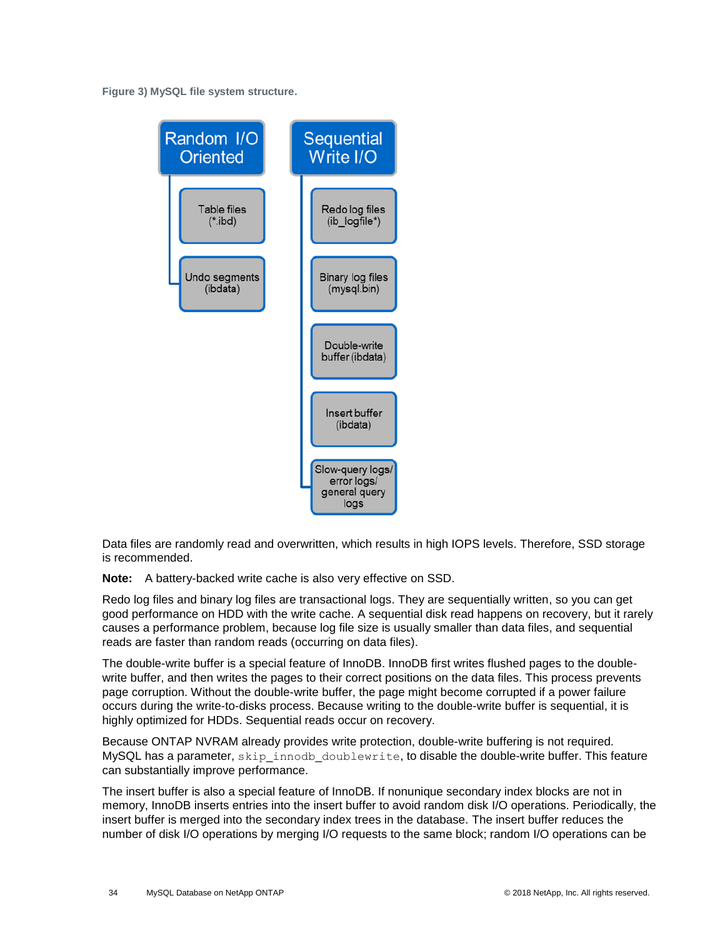<span id="page-33-0"></span>**Figure 3) MySQL file system structure.**



Data files are randomly read and overwritten, which results in high IOPS levels. Therefore, SSD storage is recommended.

**Note:** A battery-backed write cache is also very effective on SSD.

Redo log files and binary log files are transactional logs. They are sequentially written, so you can get good performance on HDD with the write cache. A sequential disk read happens on recovery, but it rarely causes a performance problem, because log file size is usually smaller than data files, and sequential reads are faster than random reads (occurring on data files).

The double-write buffer is a special feature of InnoDB. InnoDB first writes flushed pages to the doublewrite buffer, and then writes the pages to their correct positions on the data files. This process prevents page corruption. Without the double-write buffer, the page might become corrupted if a power failure occurs during the write-to-disks process. Because writing to the double-write buffer is sequential, it is highly optimized for HDDs. Sequential reads occur on recovery.

Because ONTAP NVRAM already provides write protection, double-write buffering is not required. MySQL has a parameter, skip\_innodb\_doublewrite, to disable the double-write buffer. This feature can substantially improve performance.

The insert buffer is also a special feature of InnoDB. If nonunique secondary index blocks are not in memory, InnoDB inserts entries into the insert buffer to avoid random disk I/O operations. Periodically, the insert buffer is merged into the secondary index trees in the database. The insert buffer reduces the number of disk I/O operations by merging I/O requests to the same block; random I/O operations can be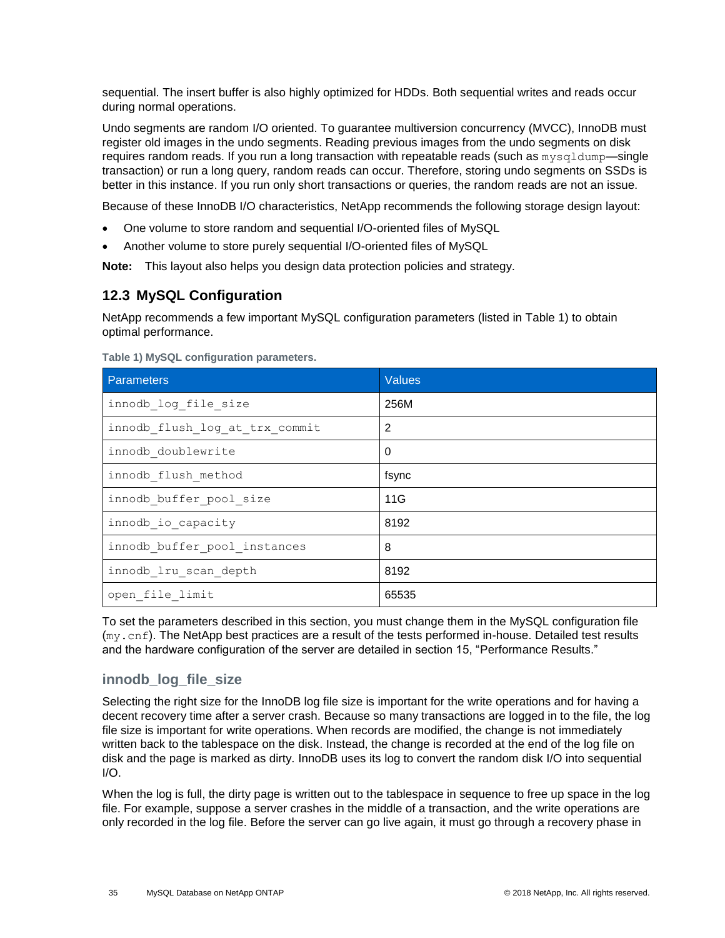sequential. The insert buffer is also highly optimized for HDDs. Both sequential writes and reads occur during normal operations.

Undo segments are random I/O oriented. To guarantee multiversion concurrency (MVCC), InnoDB must register old images in the undo segments. Reading previous images from the undo segments on disk requires random reads. If you run a long transaction with repeatable reads (such as mysqldump—single transaction) or run a long query, random reads can occur. Therefore, storing undo segments on SSDs is better in this instance. If you run only short transactions or queries, the random reads are not an issue.

Because of these InnoDB I/O characteristics, NetApp recommends the following storage design layout:

- One volume to store random and sequential I/O-oriented files of MySQL
- Another volume to store purely sequential I/O-oriented files of MySQL

**Note:** This layout also helps you design data protection policies and strategy.

### <span id="page-34-0"></span>**12.3 MySQL Configuration**

NetApp recommends a few important MySQL configuration parameters (listed in [Table 1\)](#page-34-1) to obtain optimal performance.

| Parameters                     | <b>Values</b>  |
|--------------------------------|----------------|
| innodb log file size           | 256M           |
| innodb flush log at trx commit | $\overline{2}$ |
| innodb doublewrite             | $\Omega$       |
| innodb flush method            | fsync          |
| innodb buffer pool size        | 11G            |
| innodb io capacity             | 8192           |
| innodb buffer pool instances   | 8              |
| innodb lru scan depth          | 8192           |
| open file limit                | 65535          |

<span id="page-34-1"></span>**Table 1) MySQL configuration parameters.** 

To set the parameters described in this section, you must change them in the MySQL configuration file (my.cnf). The NetApp best practices are a result of the tests performed in-house. Detailed test results and the hardware configuration of the server are detailed in section 15, ["Performance Results.](#page-40-3)"

### **innodb\_log\_file\_size**

Selecting the right size for the InnoDB log file size is important for the write operations and for having a decent recovery time after a server crash. Because so many transactions are logged in to the file, the log file size is important for write operations. When records are modified, the change is not immediately written back to the tablespace on the disk. Instead, the change is recorded at the end of the log file on disk and the page is marked as dirty. InnoDB uses its log to convert the random disk I/O into sequential I/O.

When the log is full, the dirty page is written out to the tablespace in sequence to free up space in the log file. For example, suppose a server crashes in the middle of a transaction, and the write operations are only recorded in the log file. Before the server can go live again, it must go through a recovery phase in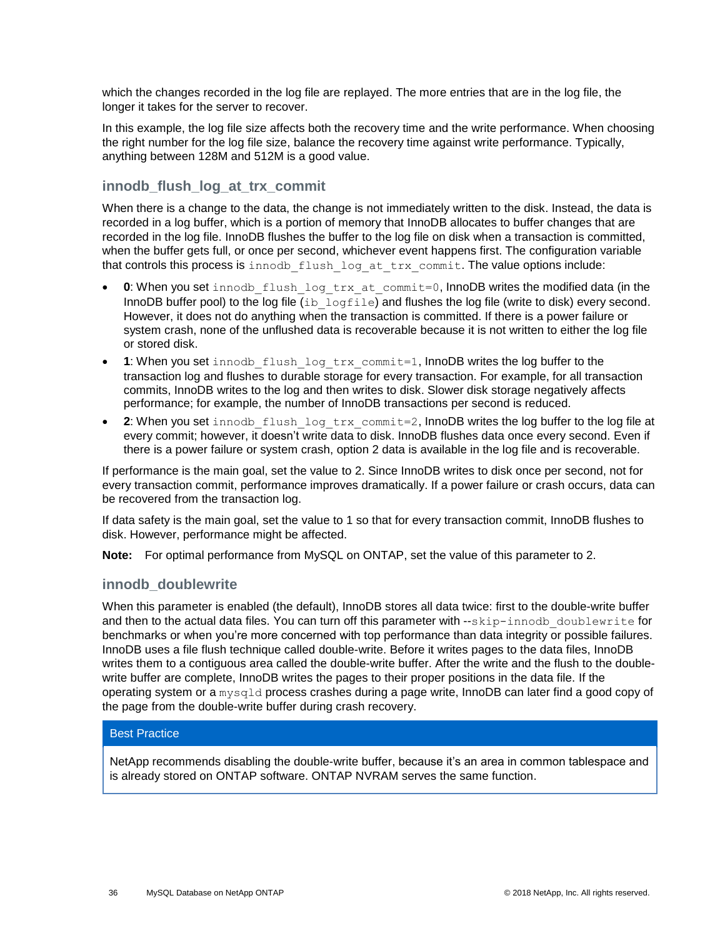which the changes recorded in the log file are replayed. The more entries that are in the log file, the longer it takes for the server to recover.

In this example, the log file size affects both the recovery time and the write performance. When choosing the right number for the log file size, balance the recovery time against write performance. Typically, anything between 128M and 512M is a good value.

#### **innodb\_flush\_log\_at\_trx\_commit**

When there is a change to the data, the change is not immediately written to the disk. Instead, the data is recorded in a log buffer, which is a portion of memory that InnoDB allocates to buffer changes that are recorded in the log file. InnoDB flushes the buffer to the log file on disk when a transaction is committed, when the buffer gets full, or once per second, whichever event happens first. The configuration variable that controls this process is innodb flush log at trx commit. The value options include:

- **0**: When you set innodb flush log trx at commit=0, InnoDB writes the modified data (in the InnoDB buffer pool) to the log file  $(i\bar{b}l\bar{a})$  and flushes the log file (write to disk) every second. However, it does not do anything when the transaction is committed. If there is a power failure or system crash, none of the unflushed data is recoverable because it is not written to either the log file or stored disk.
- 1: When you set innodb\_flush\_log\_trx\_commit=1, InnoDB writes the log buffer to the transaction log and flushes to durable storage for every transaction. For example, for all transaction commits, InnoDB writes to the log and then writes to disk. Slower disk storage negatively affects performance; for example, the number of InnoDB transactions per second is reduced.
- 2: When you set innodb\_flush\_log\_trx\_commit=2, InnoDB writes the log buffer to the log file at every commit; however, it doesn't write data to disk. InnoDB flushes data once every second. Even if there is a power failure or system crash, option 2 data is available in the log file and is recoverable.

If performance is the main goal, set the value to 2. Since InnoDB writes to disk once per second, not for every transaction commit, performance improves dramatically. If a power failure or crash occurs, data can be recovered from the transaction log.

If data safety is the main goal, set the value to 1 so that for every transaction commit, InnoDB flushes to disk. However, performance might be affected.

**Note:** For optimal performance from MySQL on ONTAP, set the value of this parameter to 2.

#### **innodb\_doublewrite**

When this parameter is enabled (the default), InnoDB stores all data twice: first to the double-write buffer and then to the actual data files. You can turn off this parameter with --skip-innodb doublewrite for benchmarks or when you're more concerned with top performance than data integrity or possible failures. InnoDB uses a file flush technique called double-write. Before it writes pages to the data files, InnoDB writes them to a contiguous area called the double-write buffer. After the write and the flush to the doublewrite buffer are complete, InnoDB writes the pages to their proper positions in the data file. If the operating system or a mysqld process crashes during a page write, InnoDB can later find a good copy of the page from the double-write buffer during crash recovery.

#### Best Practice

NetApp recommends disabling the double-write buffer, because it's an area in common tablespace and is already stored on ONTAP software. ONTAP NVRAM serves the same function.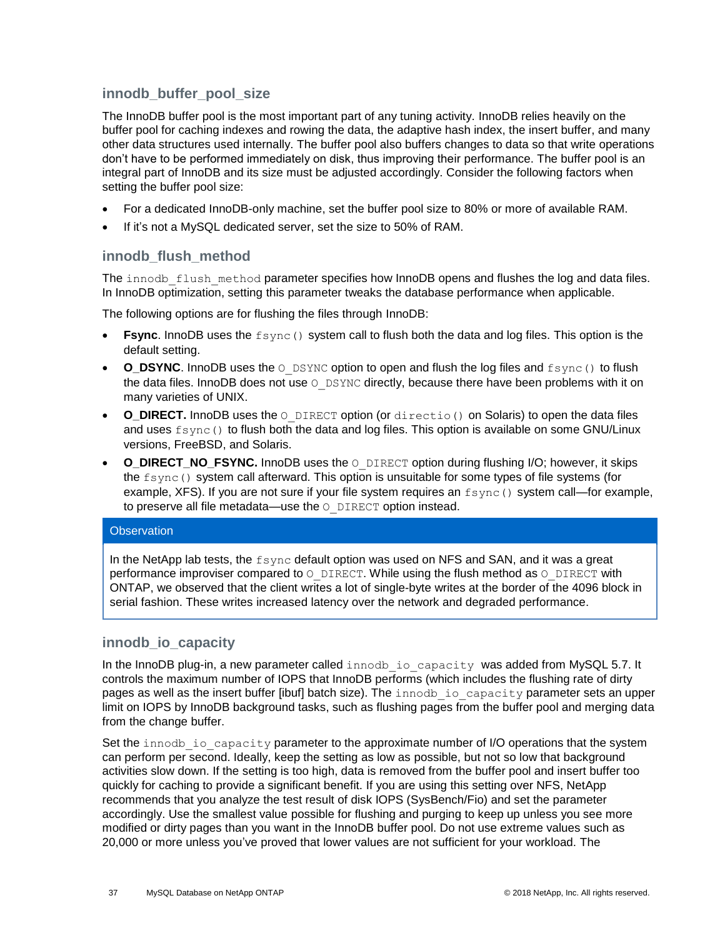#### **innodb\_buffer\_pool\_size**

The InnoDB buffer pool is the most important part of any tuning activity. InnoDB relies heavily on the buffer pool for caching indexes and rowing the data, the adaptive hash index, the insert buffer, and many other data structures used internally. The buffer pool also buffers changes to data so that write operations don't have to be performed immediately on disk, thus improving their performance. The buffer pool is an integral part of InnoDB and its size must be adjusted accordingly. Consider the following factors when setting the buffer pool size:

- For a dedicated InnoDB-only machine, set the buffer pool size to 80% or more of available RAM.
- If it's not a MySQL dedicated server, set the size to 50% of RAM.

#### **innodb\_flush\_method**

The innodb flush method parameter specifies how InnoDB opens and flushes the log and data files. In InnoDB optimization, setting this parameter tweaks the database performance when applicable.

The following options are for flushing the files through InnoDB:

- **Fsync**. InnoDB uses the fsync() system call to flush both the data and log files. This option is the default setting.
- **O\_DSYNC**. InnoDB uses the  $\circ$  DSYNC option to open and flush the log files and  $f\text{sync}$  () to flush the data files. InnoDB does not use  $\circ$  DSYNC directly, because there have been problems with it on many varieties of UNIX.
- **O\_DIRECT.** InnoDB uses the O\_DIRECT option (or directio() on Solaris) to open the data files and uses fsync() to flush both the data and log files. This option is available on some GNU/Linux versions, FreeBSD, and Solaris.
- **O\_DIRECT\_NO\_FSYNC.** InnoDB uses the O\_DIRECT option during flushing I/O; however, it skips the fsync() system call afterward. This option is unsuitable for some types of file systems (for example, XFS). If you are not sure if your file system requires an  $f_{\text{sync}}$  () system call—for example, to preserve all file metadata-use the  $\circ$  DIRECT option instead.

#### **Observation**

In the NetApp lab tests, the fsync default option was used on NFS and SAN, and it was a great performance improviser compared to  $\circ$  DIRECT. While using the flush method as  $\circ$  DIRECT with ONTAP, we observed that the client writes a lot of single-byte writes at the border of the 4096 block in serial fashion. These writes increased latency over the network and degraded performance.

#### **innodb\_io\_capacity**

In the InnoDB plug-in, a new parameter called innodb io capacity was added from MySQL 5.7. It controls the maximum number of IOPS that InnoDB performs (which includes the flushing rate of dirty pages as well as the insert buffer [ibuf] batch size). The innodb io capacity parameter sets an upper limit on IOPS by InnoDB background tasks, such as flushing pages from the buffer pool and merging data from the change buffer.

Set the innodb io capacity parameter to the approximate number of I/O operations that the system can perform per second. Ideally, keep the setting as low as possible, but not so low that background activities slow down. If the setting is too high, data is removed from the buffer pool and insert buffer too quickly for caching to provide a significant benefit. If you are using this setting over NFS, NetApp recommends that you analyze the test result of disk IOPS (SysBench/Fio) and set the parameter accordingly. Use the smallest value possible for flushing and purging to keep up unless you see more modified or dirty pages than you want in the InnoDB buffer pool. Do not use extreme values such as 20,000 or more unless you've proved that lower values are not sufficient for your workload. The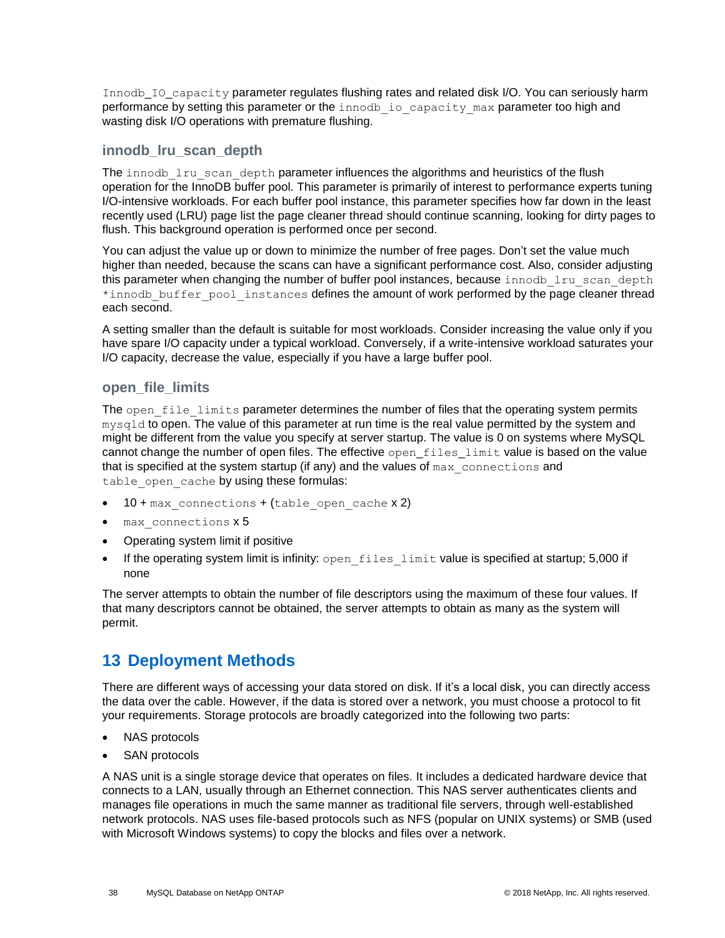Innodb IO capacity parameter regulates flushing rates and related disk I/O. You can seriously harm performance by setting this parameter or the innodb io capacity max parameter too high and wasting disk I/O operations with premature flushing.

#### **innodb\_lru\_scan\_depth**

The innodb lru scan depth parameter influences the algorithms and heuristics of the flush operation for the InnoDB buffer pool. This parameter is primarily of interest to performance experts tuning I/O-intensive workloads. For each buffer pool instance, this parameter specifies how far down in the least recently used (LRU) page list the page cleaner thread should continue scanning, looking for dirty pages to flush. This background operation is performed once per second.

You can adjust the value up or down to minimize the number of free pages. Don't set the value much higher than needed, because the scans can have a significant performance cost. Also, consider adjusting this parameter when changing the number of buffer pool instances, because innodb lru scan depth \*innodb\_buffer\_pool\_instances defines the amount of work performed by the page cleaner thread each second.

A setting smaller than the default is suitable for most workloads. Consider increasing the value only if you have spare I/O capacity under a typical workload. Conversely, if a write-intensive workload saturates your I/O capacity, decrease the value, especially if you have a large buffer pool.

#### **open\_file\_limits**

The open file limits parameter determines the number of files that the operating system permits mysqld to open. The value of this parameter at run time is the real value permitted by the system and might be different from the value you specify at server startup. The value is 0 on systems where MySQL cannot change the number of open files. The effective open\_files\_limit value is based on the value that is specified at the system startup (if any) and the values of max connections and table open cache by using these formulas:

- $10 + \text{max}$  connections + (table open cache x 2)
- max connections x 5
- Operating system limit if positive
- If the operating system limit is infinity: open files limit value is specified at startup; 5,000 if none

The server attempts to obtain the number of file descriptors using the maximum of these four values. If that many descriptors cannot be obtained, the server attempts to obtain as many as the system will permit.

## <span id="page-37-0"></span>**13 Deployment Methods**

There are different ways of accessing your data stored on disk. If it's a local disk, you can directly access the data over the cable. However, if the data is stored over a network, you must choose a protocol to fit your requirements. Storage protocols are broadly categorized into the following two parts:

- NAS protocols
- SAN protocols

A NAS unit is a single storage device that operates on files. It includes a dedicated hardware device that connects to a LAN, usually through an Ethernet connection. This NAS server authenticates clients and manages file operations in much the same manner as traditional file servers, through well-established network protocols. NAS uses file-based protocols such as NFS (popular on UNIX systems) or SMB (used with Microsoft Windows systems) to copy the blocks and files over a network.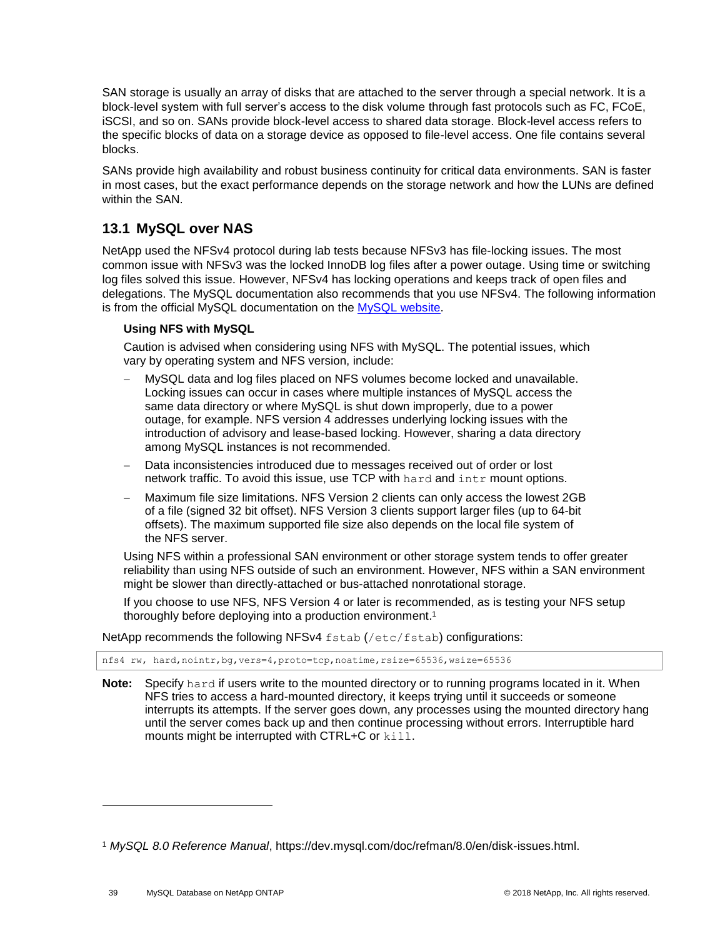SAN storage is usually an array of disks that are attached to the server through a special network. It is a block-level system with full server's access to the disk volume through fast protocols such as FC, FCoE, iSCSI, and so on. SANs provide block-level access to shared data storage. Block-level access refers to the specific blocks of data on a storage device as opposed to file-level access. One file contains several blocks.

SANs provide high availability and robust business continuity for critical data environments. SAN is faster in most cases, but the exact performance depends on the storage network and how the LUNs are defined within the SAN.

### <span id="page-38-0"></span>**13.1 MySQL over NAS**

NetApp used the NFSv4 protocol during lab tests because NFSv3 has file-locking issues. The most common issue with NFSv3 was the locked InnoDB log files after a power outage. Using time or switching log files solved this issue. However, NFSv4 has locking operations and keeps track of open files and delegations. The MySQL documentation also recommends that you use NFSv4. The following information is from the official MySQL documentation on the [MySQL website.](https://dev.mysql.com/doc/refman/8.0/en/disk-issues.html)

#### **Using NFS with MySQL**

Caution is advised when considering using NFS with MySQL. The potential issues, which vary by operating system and NFS version, include:

- − MySQL data and log files placed on NFS volumes become locked and unavailable. Locking issues can occur in cases where multiple instances of MySQL access the same data directory or where MySQL is shut down improperly, due to a power outage, for example. NFS version 4 addresses underlying locking issues with the introduction of advisory and lease-based locking. However, sharing a data directory among MySQL instances is not recommended.
- Data inconsistencies introduced due to messages received out of order or lost network traffic. To avoid this issue, use TCP with hard and intr mount options.
- − Maximum file size limitations. NFS Version 2 clients can only access the lowest 2GB of a file (signed 32 bit offset). NFS Version 3 clients support larger files (up to 64-bit offsets). The maximum supported file size also depends on the local file system of the NFS server.

Using NFS within a professional SAN environment or other storage system tends to offer greater reliability than using NFS outside of such an environment. However, NFS within a SAN environment might be slower than directly-attached or bus-attached nonrotational storage.

If you choose to use NFS, NFS Version 4 or later is recommended, as is testing your NFS setup thoroughly before deploying into a production environment. 1

NetApp recommends the following NFSv4  $f$ stab (/etc/fstab) configurations:

nfs4 rw, hard,nointr,bg,vers=4,proto=tcp,noatime,rsize=65536,wsize=65536

**Note:** Specify hard if users write to the mounted directory or to running programs located in it. When NFS tries to access a hard-mounted directory, it keeps trying until it succeeds or someone interrupts its attempts. If the server goes down, any processes using the mounted directory hang until the server comes back up and then continue processing without errors. Interruptible hard mounts might be interrupted with CTRL+C or kill.

l

<sup>1</sup> *MySQL 8.0 Reference Manual*, https://dev.mysql.com/doc/refman/8.0/en/disk-issues.html.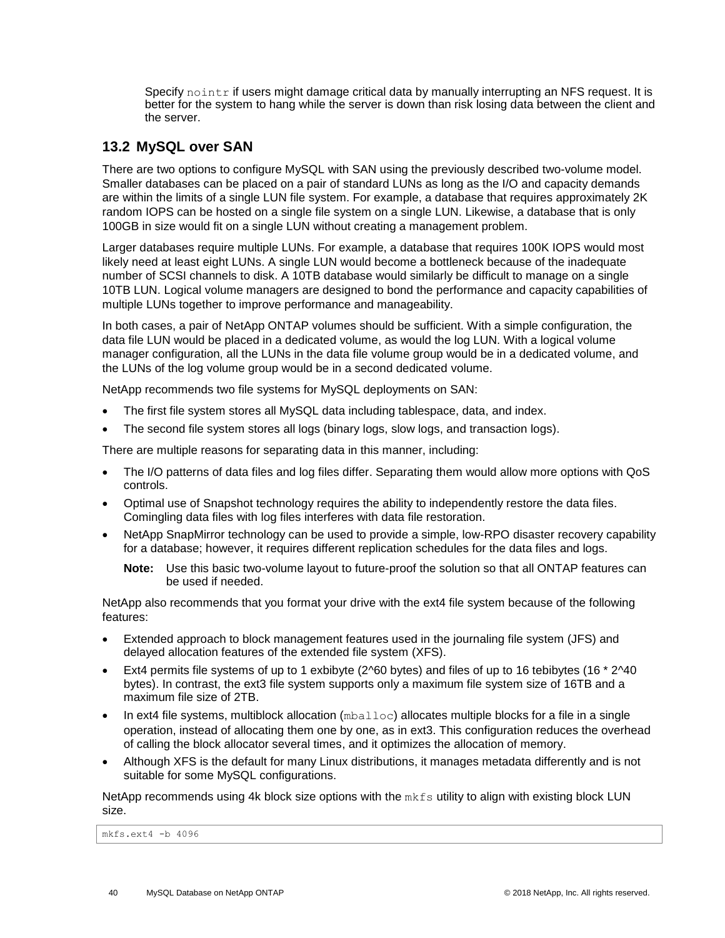Specify nointr if users might damage critical data by manually interrupting an NFS request. It is better for the system to hang while the server is down than risk losing data between the client and the server.

### <span id="page-39-0"></span>**13.2 MySQL over SAN**

There are two options to configure MySQL with SAN using the previously described two-volume model. Smaller databases can be placed on a pair of standard LUNs as long as the I/O and capacity demands are within the limits of a single LUN file system. For example, a database that requires approximately 2K random IOPS can be hosted on a single file system on a single LUN. Likewise, a database that is only 100GB in size would fit on a single LUN without creating a management problem.

Larger databases require multiple LUNs. For example, a database that requires 100K IOPS would most likely need at least eight LUNs. A single LUN would become a bottleneck because of the inadequate number of SCSI channels to disk. A 10TB database would similarly be difficult to manage on a single 10TB LUN. Logical volume managers are designed to bond the performance and capacity capabilities of multiple LUNs together to improve performance and manageability.

In both cases, a pair of NetApp ONTAP volumes should be sufficient. With a simple configuration, the data file LUN would be placed in a dedicated volume, as would the log LUN. With a logical volume manager configuration, all the LUNs in the data file volume group would be in a dedicated volume, and the LUNs of the log volume group would be in a second dedicated volume.

NetApp recommends two file systems for MySQL deployments on SAN:

- The first file system stores all MySQL data including tablespace, data, and index.
- The second file system stores all logs (binary logs, slow logs, and transaction logs).

There are multiple reasons for separating data in this manner, including:

- The I/O patterns of data files and log files differ. Separating them would allow more options with QoS controls.
- Optimal use of Snapshot technology requires the ability to independently restore the data files. Comingling data files with log files interferes with data file restoration.
- NetApp SnapMirror technology can be used to provide a simple, low-RPO disaster recovery capability for a database; however, it requires different replication schedules for the data files and logs.

**Note:** Use this basic two-volume layout to future-proof the solution so that all ONTAP features can be used if needed.

NetApp also recommends that you format your drive with the ext4 file system because of the following features:

- Extended approach to block management features used in the journaling file system (JFS) and delayed allocation features of the extended file system (XFS).
- Ext4 permits file systems of up to 1 exbibyte (2^60 bytes) and files of up to 16 tebibytes (16  $*$  2^40 bytes). In contrast, the ext3 file system supports only a maximum file system size of 16TB and a maximum file size of 2TB.
- In ext4 file systems, multiblock allocation  $(mba11oc)$  allocates multiple blocks for a file in a single operation, instead of allocating them one by one, as in ext3. This configuration reduces the overhead of calling the block allocator several times, and it optimizes the allocation of memory.
- Although XFS is the default for many Linux distributions, it manages metadata differently and is not suitable for some MySQL configurations.

NetApp recommends using 4k block size options with the  $mkfs$  utility to align with existing block LUN size.

mkfs.ext4 -b 4096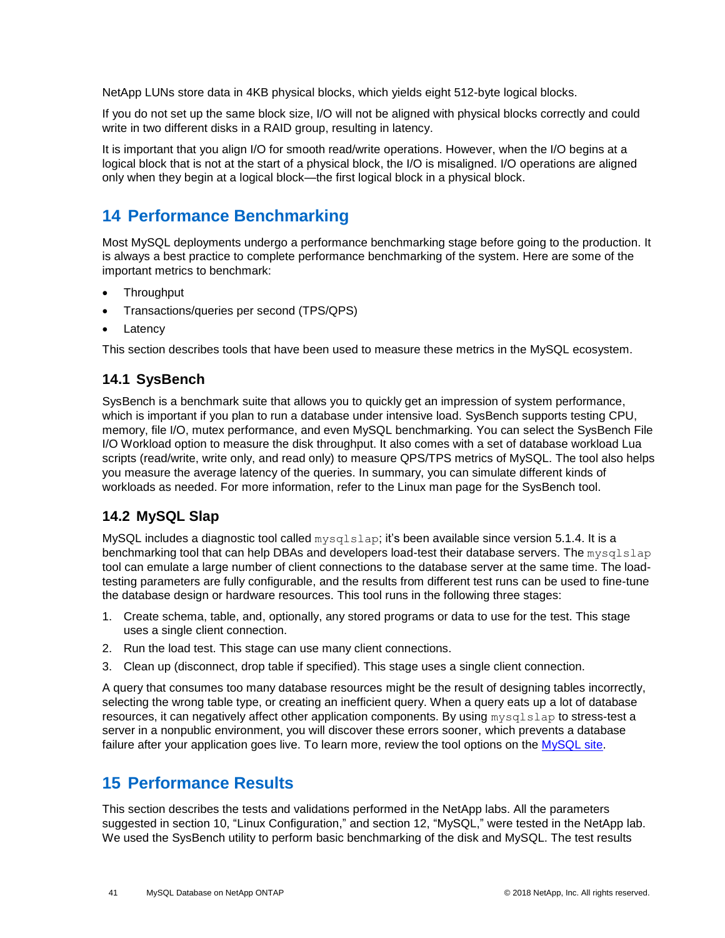NetApp LUNs store data in 4KB physical blocks, which yields eight 512-byte logical blocks.

If you do not set up the same block size, I/O will not be aligned with physical blocks correctly and could write in two different disks in a RAID group, resulting in latency.

It is important that you align I/O for smooth read/write operations. However, when the I/O begins at a logical block that is not at the start of a physical block, the I/O is misaligned. I/O operations are aligned only when they begin at a logical block—the first logical block in a physical block.

## <span id="page-40-0"></span>**14 Performance Benchmarking**

Most MySQL deployments undergo a performance benchmarking stage before going to the production. It is always a best practice to complete performance benchmarking of the system. Here are some of the important metrics to benchmark:

- **Throughput**
- Transactions/queries per second (TPS/QPS)
- **Latency**

This section describes tools that have been used to measure these metrics in the MySQL ecosystem.

### <span id="page-40-1"></span>**14.1 SysBench**

SysBench is a benchmark suite that allows you to quickly get an impression of system performance, which is important if you plan to run a database under intensive load. SysBench supports testing CPU, memory, file I/O, mutex performance, and even MySQL benchmarking. You can select the SysBench File I/O Workload option to measure the disk throughput. It also comes with a set of database workload Lua scripts (read/write, write only, and read only) to measure QPS/TPS metrics of MySQL. The tool also helps you measure the average latency of the queries. In summary, you can simulate different kinds of workloads as needed. For more information, refer to the Linux man page for the SysBench tool.

### <span id="page-40-2"></span>**14.2 MySQL Slap**

MySQL includes a diagnostic tool called  $mysqlslap$ ; it's been available since version 5.1.4. It is a benchmarking tool that can help DBAs and developers load-test their database servers. The mysqlslap tool can emulate a large number of client connections to the database server at the same time. The loadtesting parameters are fully configurable, and the results from different test runs can be used to fine-tune the database design or hardware resources. This tool runs in the following three stages:

- 1. Create schema, table, and, optionally, any stored programs or data to use for the test. This stage uses a single client connection.
- 2. Run the load test. This stage can use many client connections.
- 3. Clean up (disconnect, drop table if specified). This stage uses a single client connection.

A query that consumes too many database resources might be the result of designing tables incorrectly, selecting the wrong table type, or creating an inefficient query. When a query eats up a lot of database resources, it can negatively affect other application components. By using mysqlslap to stress-test a server in a nonpublic environment, you will discover these errors sooner, which prevents a database failure after your application goes live. To learn more, review the tool options on the [MySQL site.](https://dev.mysql.com/doc/refman/5.7/en/mysqlslap.html)

## <span id="page-40-3"></span>**15 Performance Results**

This section describes the tests and validations performed in the NetApp labs. All the parameters suggested in section 10, ["Linux Configuration,](#page-26-0)" and section 12, ["MySQL,](#page-30-1)" were tested in the NetApp lab. We used the SysBench utility to perform basic benchmarking of the disk and MySQL. The test results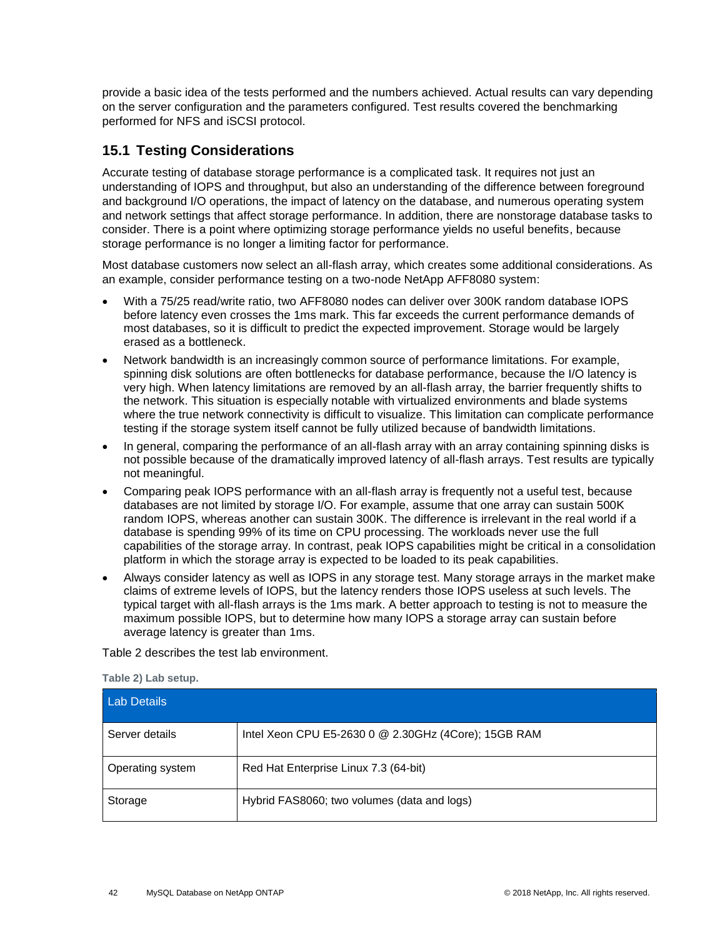provide a basic idea of the tests performed and the numbers achieved. Actual results can vary depending on the server configuration and the parameters configured. Test results covered the benchmarking performed for NFS and iSCSI protocol.

### <span id="page-41-0"></span>**15.1 Testing Considerations**

Accurate testing of database storage performance is a complicated task. It requires not just an understanding of IOPS and throughput, but also an understanding of the difference between foreground and background I/O operations, the impact of latency on the database, and numerous operating system and network settings that affect storage performance. In addition, there are nonstorage database tasks to consider. There is a point where optimizing storage performance yields no useful benefits, because storage performance is no longer a limiting factor for performance.

Most database customers now select an all-flash array, which creates some additional considerations. As an example, consider performance testing on a two-node NetApp AFF8080 system:

- With a 75/25 read/write ratio, two AFF8080 nodes can deliver over 300K random database IOPS before latency even crosses the 1ms mark. This far exceeds the current performance demands of most databases, so it is difficult to predict the expected improvement. Storage would be largely erased as a bottleneck.
- Network bandwidth is an increasingly common source of performance limitations. For example, spinning disk solutions are often bottlenecks for database performance, because the I/O latency is very high. When latency limitations are removed by an all-flash array, the barrier frequently shifts to the network. This situation is especially notable with virtualized environments and blade systems where the true network connectivity is difficult to visualize. This limitation can complicate performance testing if the storage system itself cannot be fully utilized because of bandwidth limitations.
- In general, comparing the performance of an all-flash array with an array containing spinning disks is not possible because of the dramatically improved latency of all-flash arrays. Test results are typically not meaningful.
- Comparing peak IOPS performance with an all-flash array is frequently not a useful test, because databases are not limited by storage I/O. For example, assume that one array can sustain 500K random IOPS, whereas another can sustain 300K. The difference is irrelevant in the real world if a database is spending 99% of its time on CPU processing. The workloads never use the full capabilities of the storage array. In contrast, peak IOPS capabilities might be critical in a consolidation platform in which the storage array is expected to be loaded to its peak capabilities.
- Always consider latency as well as IOPS in any storage test. Many storage arrays in the market make claims of extreme levels of IOPS, but the latency renders those IOPS useless at such levels. The typical target with all-flash arrays is the 1ms mark. A better approach to testing is not to measure the maximum possible IOPS, but to determine how many IOPS a storage array can sustain before average latency is greater than 1ms.

[Table 2](#page-41-1) describes the test lab environment.

<span id="page-41-1"></span>**Table 2) Lab setup.** 

| <b>Lab Details</b> |                                                      |  |  |  |  |
|--------------------|------------------------------------------------------|--|--|--|--|
| Server details     | Intel Xeon CPU E5-2630 0 @ 2.30GHz (4Core); 15GB RAM |  |  |  |  |
| Operating system   | Red Hat Enterprise Linux 7.3 (64-bit)                |  |  |  |  |
| Storage            | Hybrid FAS8060; two volumes (data and logs)          |  |  |  |  |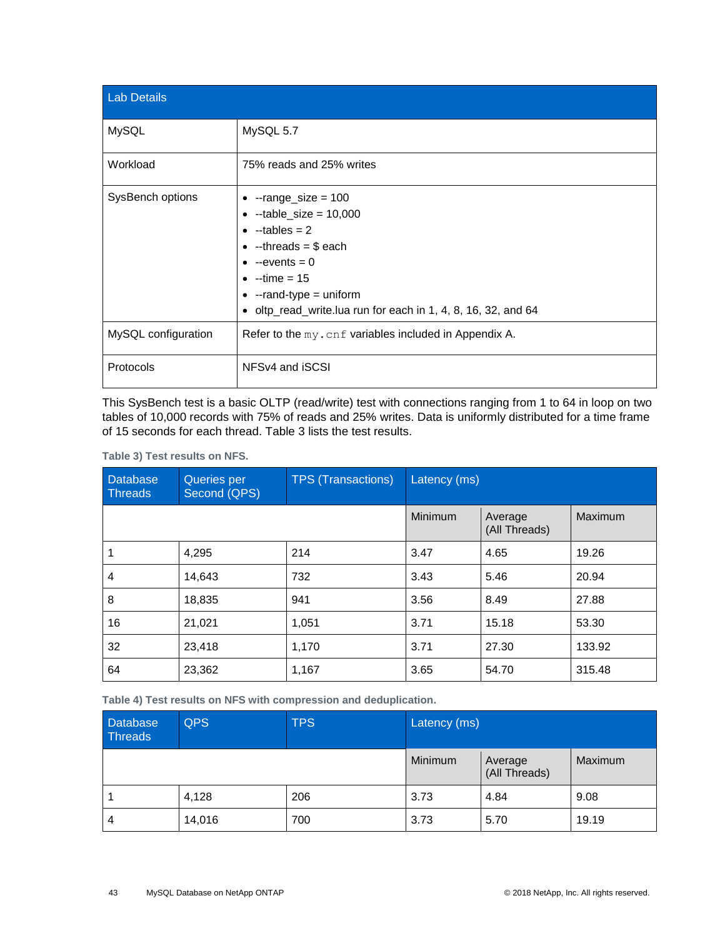| <b>Lab Details</b>  |                                                                                                                                                                                                                                                                                 |
|---------------------|---------------------------------------------------------------------------------------------------------------------------------------------------------------------------------------------------------------------------------------------------------------------------------|
| <b>MySQL</b>        | MySQL 5.7                                                                                                                                                                                                                                                                       |
| Workload            | 75% reads and 25% writes                                                                                                                                                                                                                                                        |
| SysBench options    | $\bullet$ --range_size = 100<br>$\bullet$ --table_size = 10,000<br>$\bullet$ -tables = 2<br>$\bullet$ --threads = \$ each<br>$\bullet$ --events = 0<br>$\bullet$ -time = 15<br>$\bullet$ --rand-type = uniform<br>• oltp_read_write.lua run for each in 1, 4, 8, 16, 32, and 64 |
| MySQL configuration | Refer to the my. cnf variables included in Appendix A.                                                                                                                                                                                                                          |
| Protocols           | NFS <sub>v4</sub> and iSCSI                                                                                                                                                                                                                                                     |

This SysBench test is a basic OLTP (read/write) test with connections ranging from 1 to 64 in loop on two tables of 10,000 records with 75% of reads and 25% writes. Data is uniformly distributed for a time frame of 15 seconds for each thread. [Table 3](#page-42-0) lists the test results.

#### <span id="page-42-0"></span>**Table 3) Test results on NFS.**

| <b>Database</b><br><b>Threads</b> | Queries per<br>Second (QPS) | <b>TPS (Transactions)</b> | Latency (ms) |                          |         |
|-----------------------------------|-----------------------------|---------------------------|--------------|--------------------------|---------|
|                                   |                             |                           | Minimum      | Average<br>(All Threads) | Maximum |
|                                   | 4,295                       | 214                       | 3.47         | 4.65                     | 19.26   |
| 4                                 | 14,643                      | 732                       | 3.43         | 5.46                     | 20.94   |
| 8                                 | 18,835                      | 941                       | 3.56         | 8.49                     | 27.88   |
| 16                                | 21,021                      | 1,051                     | 3.71         | 15.18                    | 53.30   |
| 32                                | 23,418                      | 1,170                     | 3.71         | 27.30                    | 133.92  |
| 64                                | 23,362                      | 1,167                     | 3.65         | 54.70                    | 315.48  |

<span id="page-42-1"></span>**Table 4) Test results on NFS with compression and deduplication.**

| Database<br><b>Threads</b> | <b>QPS</b> | <b>TPS</b> | Latency (ms) |                          |         |
|----------------------------|------------|------------|--------------|--------------------------|---------|
|                            |            |            | Minimum      | Average<br>(All Threads) | Maximum |
|                            | 4,128      | 206        | 3.73         | 4.84                     | 9.08    |
| 4                          | 14,016     | 700        | 3.73         | 5.70                     | 19.19   |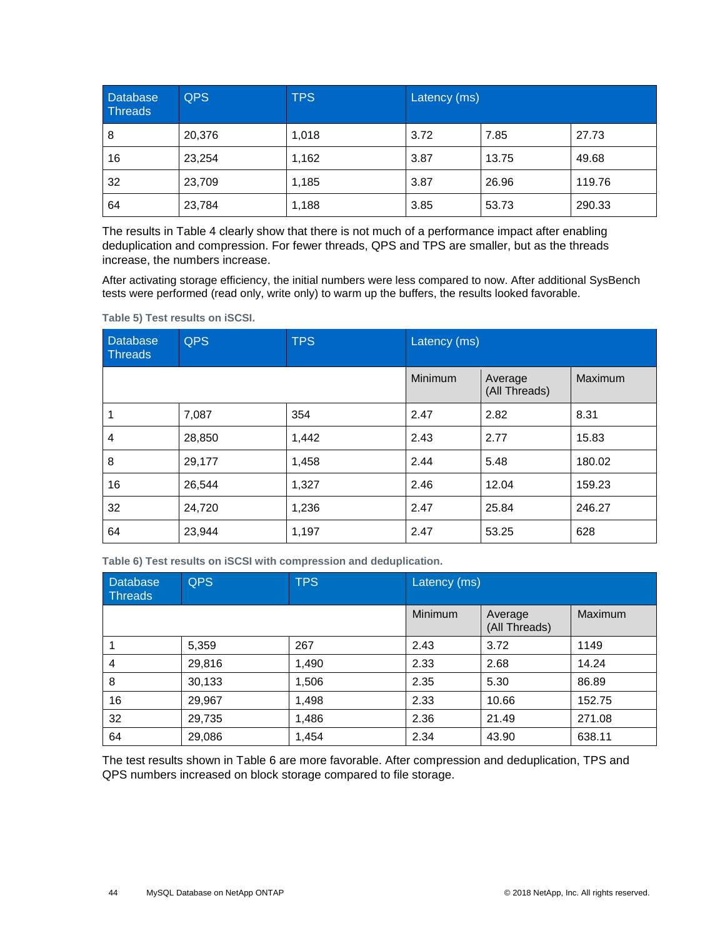| <b>Database</b><br>Threads | <b>QPS</b> | <b>TPS</b> | Latency (ms) |       |        |
|----------------------------|------------|------------|--------------|-------|--------|
| 8                          | 20,376     | 1,018      | 3.72         | 7.85  | 27.73  |
| 16                         | 23,254     | 1,162      | 3.87         | 13.75 | 49.68  |
| 32                         | 23,709     | 1,185      | 3.87         | 26.96 | 119.76 |
| 64                         | 23,784     | 1,188      | 3.85         | 53.73 | 290.33 |

The results in [Table 4](#page-42-1) clearly show that there is not much of a performance impact after enabling deduplication and compression. For fewer threads, QPS and TPS are smaller, but as the threads increase, the numbers increase.

After activating storage efficiency, the initial numbers were less compared to now. After additional SysBench tests were performed (read only, write only) to warm up the buffers, the results looked favorable.

| <b>Database</b><br><b>Threads</b> | <b>QPS</b> | <b>TPS</b> | Latency (ms) |                          |         |
|-----------------------------------|------------|------------|--------------|--------------------------|---------|
|                                   |            |            | Minimum      | Average<br>(All Threads) | Maximum |
|                                   | 7,087      | 354        | 2.47         | 2.82                     | 8.31    |
| 4                                 | 28,850     | 1,442      | 2.43         | 2.77                     | 15.83   |
| 8                                 | 29,177     | 1,458      | 2.44         | 5.48                     | 180.02  |
| 16                                | 26,544     | 1,327      | 2.46         | 12.04                    | 159.23  |
| 32                                | 24,720     | 1,236      | 2.47         | 25.84                    | 246.27  |
| 64                                | 23,944     | 1,197      | 2.47         | 53.25                    | 628     |

<span id="page-43-0"></span>**Table 5) Test results on iSCSI.**

<span id="page-43-1"></span>**Table 6) Test results on iSCSI with compression and deduplication.**

| Database<br><b>Threads</b> | <b>QPS</b> | <b>TPS</b> | Latency (ms) |                          |         |
|----------------------------|------------|------------|--------------|--------------------------|---------|
|                            |            |            | Minimum      | Average<br>(All Threads) | Maximum |
|                            | 5,359      | 267        | 2.43         | 3.72                     | 1149    |
| 4                          | 29,816     | 1,490      | 2.33         | 2.68                     | 14.24   |
| 8                          | 30,133     | 1,506      | 2.35         | 5.30                     | 86.89   |
| 16                         | 29,967     | 1,498      | 2.33         | 10.66                    | 152.75  |
| 32                         | 29,735     | 1,486      | 2.36         | 21.49                    | 271.08  |
| 64                         | 29,086     | 1,454      | 2.34         | 43.90                    | 638.11  |

The test results shown in [Table 6](#page-43-1) are more favorable. After compression and deduplication, TPS and QPS numbers increased on block storage compared to file storage.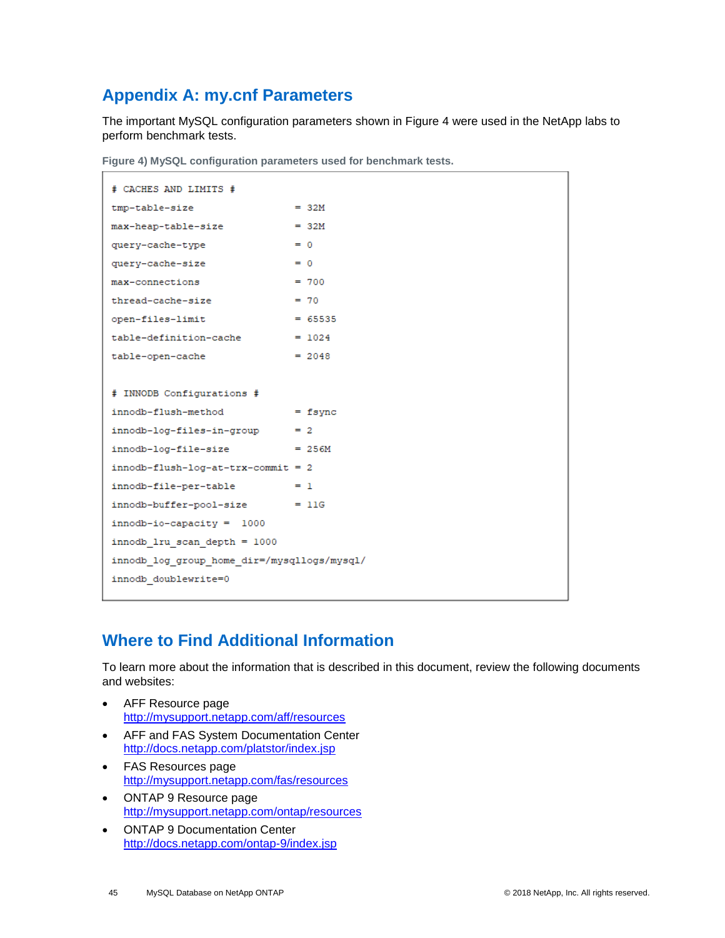## <span id="page-44-0"></span>**Appendix A: my.cnf Parameters**

The important MySQL configuration parameters shown in [Figure 4](#page-44-2) were used in the NetApp labs to perform benchmark tests.

<span id="page-44-2"></span>**Figure 4) MySQL configuration parameters used for benchmark tests.** 

| # CACHES AND LIMITS #                       |          |  |  |  |  |
|---------------------------------------------|----------|--|--|--|--|
| tmp-table-size                              | $= 32M$  |  |  |  |  |
| max-heap-table-size                         | $= 32M$  |  |  |  |  |
| query-cache-type                            | $= 0$    |  |  |  |  |
| query-cache-size                            | $= 0$    |  |  |  |  |
| max-connections                             | $= 700$  |  |  |  |  |
| thread-cache-size                           | $= 70$   |  |  |  |  |
| open-files-limit $= 65535$                  |          |  |  |  |  |
| $table-definition-cache = 1024$             |          |  |  |  |  |
| table-open-cache                            | $= 2048$ |  |  |  |  |
|                                             |          |  |  |  |  |
| # INNODB Configurations #                   |          |  |  |  |  |
| $in nodd-flush-method$ = fsync              |          |  |  |  |  |
| $innodb-log-files-in-group$ = 2             |          |  |  |  |  |
| $innodb-log-file-size = 256M$               |          |  |  |  |  |
| $innodb-flush-log-at-trx-commit = 2$        |          |  |  |  |  |
| $innodb-file-per-table = 1$                 |          |  |  |  |  |
| $innodb-buffer-pool-size$ = 11G             |          |  |  |  |  |
| $innodb-io-capacity = 1000$                 |          |  |  |  |  |
| innodb 1ru scan depth = 1000                |          |  |  |  |  |
| innodb log group home dir=/mysqllogs/mysql/ |          |  |  |  |  |
| innodb doublewrite=0                        |          |  |  |  |  |
|                                             |          |  |  |  |  |

## <span id="page-44-1"></span>**Where to Find Additional Information**

To learn more about the information that is described in this document, review the following documents and websites:

- AFF Resource page <http://mysupport.netapp.com/aff/resources>
- AFF and FAS System Documentation Center <http://docs.netapp.com/platstor/index.jsp>
- FAS Resources page <http://mysupport.netapp.com/fas/resources>
- ONTAP 9 Resource page <http://mysupport.netapp.com/ontap/resources>
- ONTAP 9 Documentation Center <http://docs.netapp.com/ontap-9/index.jsp>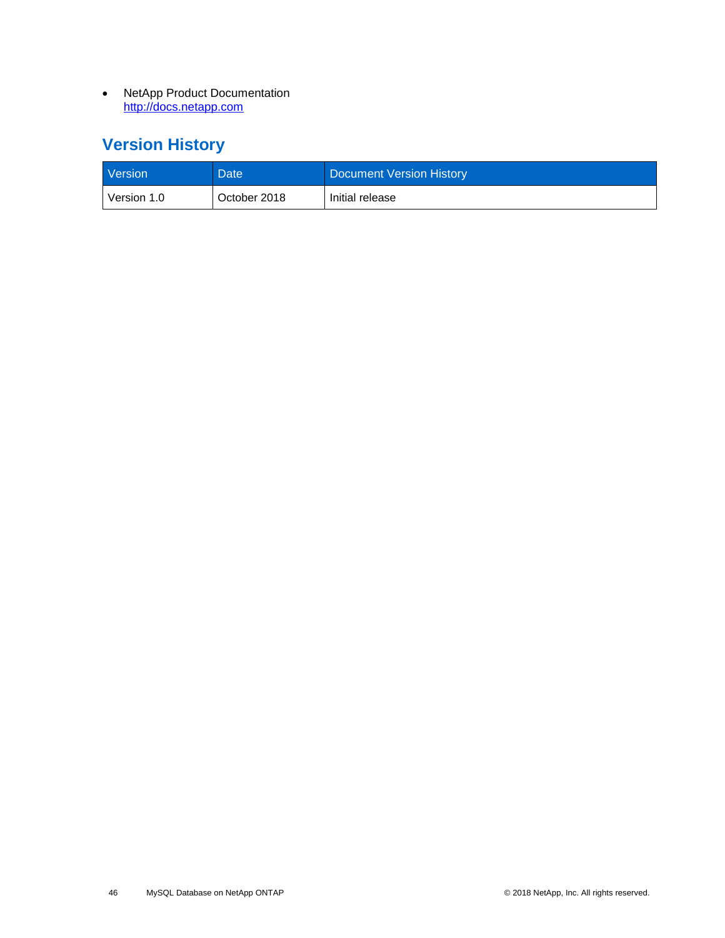• NetApp Product Documentation http://docs.netapp.com

## <span id="page-45-0"></span>**Version History**

| <b>Version</b> | Date <sup>1</sup> | Document Version History |
|----------------|-------------------|--------------------------|
| Version 1.0    | October 2018      | Initial release          |